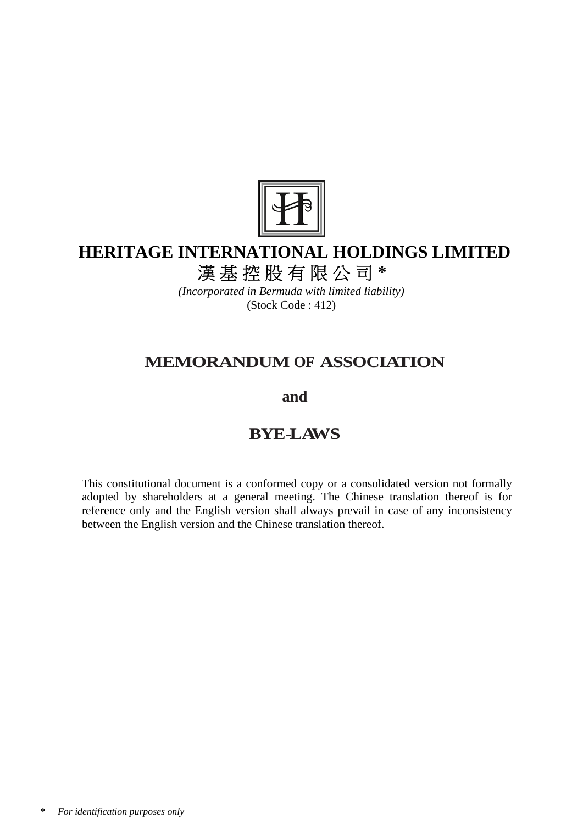

# **HERITAGE INTERNATIONAL HOLDINGS LIMITED**

漢基控股有限公司 **\*** 

*(Incorporated in Bermuda with limited liability)*  (Stock Code : 412)

# **MEMORANDUM OF ASSOCIATION**

**and**

# **BYE-LAWS**

This constitutional document is a conformed copy or a consolidated version not formally adopted by shareholders at a general meeting. The Chinese translation thereof is for reference only and the English version shall always prevail in case of any inconsistency between the English version and the Chinese translation thereof.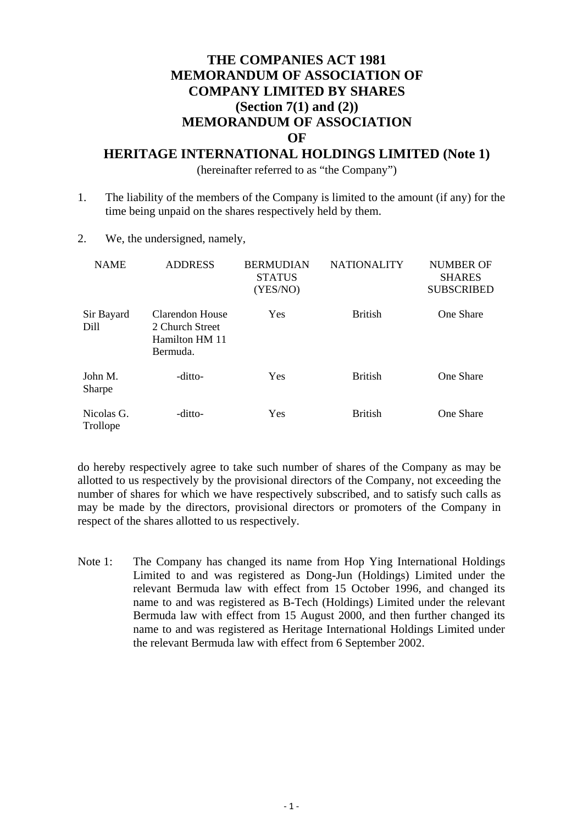# **THE COMPANIES ACT 1981 MEMORANDUM OF ASSOCIATION OF COMPANY LIMITED BY SHARES (Section 7(1) and (2)) MEMORANDUM OF ASSOCIATION OF**

### **HERITAGE INTERNATIONAL HOLDINGS LIMITED (Note 1)**

(hereinafter referred to as "the Company")

- 1. The liability of the members of the Company is limited to the amount (if any) for the time being unpaid on the shares respectively held by them.
- 2. We, the undersigned, namely,

| <b>NAME</b>            | <b>ADDRESS</b>                                                   | <b>BERMUDIAN</b><br><b>STATUS</b><br>(YES/NO) | <b>NATIONALITY</b> | NUMBER OF<br><b>SHARES</b><br><b>SUBSCRIBED</b> |
|------------------------|------------------------------------------------------------------|-----------------------------------------------|--------------------|-------------------------------------------------|
| Sir Bayard<br>Dill     | Clarendon House<br>2 Church Street<br>Hamilton HM 11<br>Bermuda. | Yes                                           | <b>British</b>     | One Share                                       |
| John M.<br>Sharpe      | -ditto-                                                          | Yes                                           | <b>British</b>     | One Share                                       |
| Nicolas G.<br>Trollope | -ditto-                                                          | Yes                                           | <b>British</b>     | One Share                                       |

do hereby respectively agree to take such number of shares of the Company as may be allotted to us respectively by the provisional directors of the Company, not exceeding the number of shares for which we have respectively subscribed, and to satisfy such calls as may be made by the directors, provisional directors or promoters of the Company in respect of the shares allotted to us respectively.

Note 1: The Company has changed its name from Hop Ying International Holdings Limited to and was registered as Dong-Jun (Holdings) Limited under the relevant Bermuda law with effect from 15 October 1996, and changed its name to and was registered as B-Tech (Holdings) Limited under the relevant Bermuda law with effect from 15 August 2000, and then further changed its name to and was registered as Heritage International Holdings Limited under the relevant Bermuda law with effect from 6 September 2002.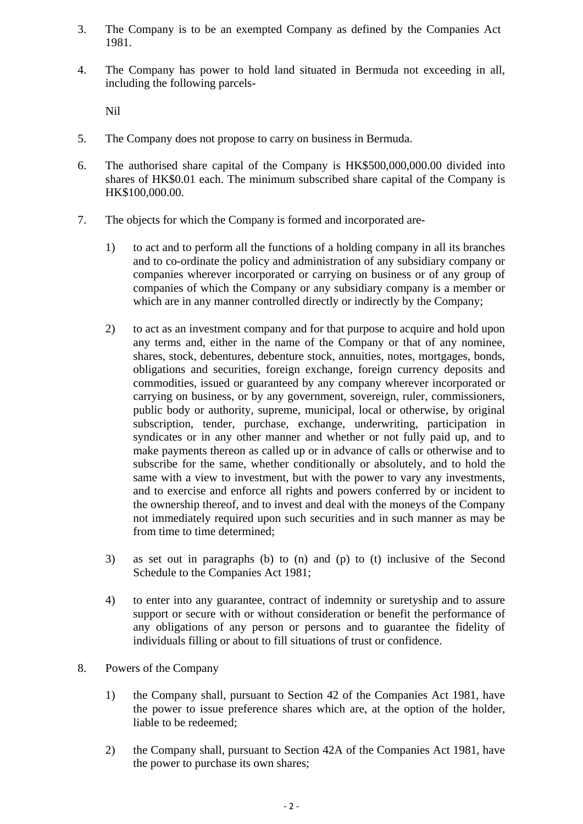- 3. The Company is to be an exempted Company as defined by the Companies Act 1981.
- 4. The Company has power to hold land situated in Bermuda not exceeding in all, including the following parcels-

Nil

- 5. The Company does not propose to carry on business in Bermuda.
- 6. The authorised share capital of the Company is HK\$500,000,000.00 divided into shares of HK\$0.01 each. The minimum subscribed share capital of the Company is HK\$100,000.00.
- 7. The objects for which the Company is formed and incorporated are-
	- 1) to act and to perform all the functions of a holding company in all its branches and to co-ordinate the policy and administration of any subsidiary company or companies wherever incorporated or carrying on business or of any group of companies of which the Company or any subsidiary company is a member or which are in any manner controlled directly or indirectly by the Company;
	- 2) to act as an investment company and for that purpose to acquire and hold upon any terms and, either in the name of the Company or that of any nominee, shares, stock, debentures, debenture stock, annuities, notes, mortgages, bonds, obligations and securities, foreign exchange, foreign currency deposits and commodities, issued or guaranteed by any company wherever incorporated or carrying on business, or by any government, sovereign, ruler, commissioners, public body or authority, supreme, municipal, local or otherwise, by original subscription, tender, purchase, exchange, underwriting, participation in syndicates or in any other manner and whether or not fully paid up, and to make payments thereon as called up or in advance of calls or otherwise and to subscribe for the same, whether conditionally or absolutely, and to hold the same with a view to investment, but with the power to vary any investments, and to exercise and enforce all rights and powers conferred by or incident to the ownership thereof, and to invest and deal with the moneys of the Company not immediately required upon such securities and in such manner as may be from time to time determined;
	- 3) as set out in paragraphs (b) to (n) and (p) to (t) inclusive of the Second Schedule to the Companies Act 1981;
	- 4) to enter into any guarantee, contract of indemnity or suretyship and to assure support or secure with or without consideration or benefit the performance of any obligations of any person or persons and to guarantee the fidelity of individuals filling or about to fill situations of trust or confidence.
- 8. Powers of the Company
	- 1) the Company shall, pursuant to Section 42 of the Companies Act 1981, have the power to issue preference shares which are, at the option of the holder, liable to be redeemed;
	- 2) the Company shall, pursuant to Section 42A of the Companies Act 1981, have the power to purchase its own shares;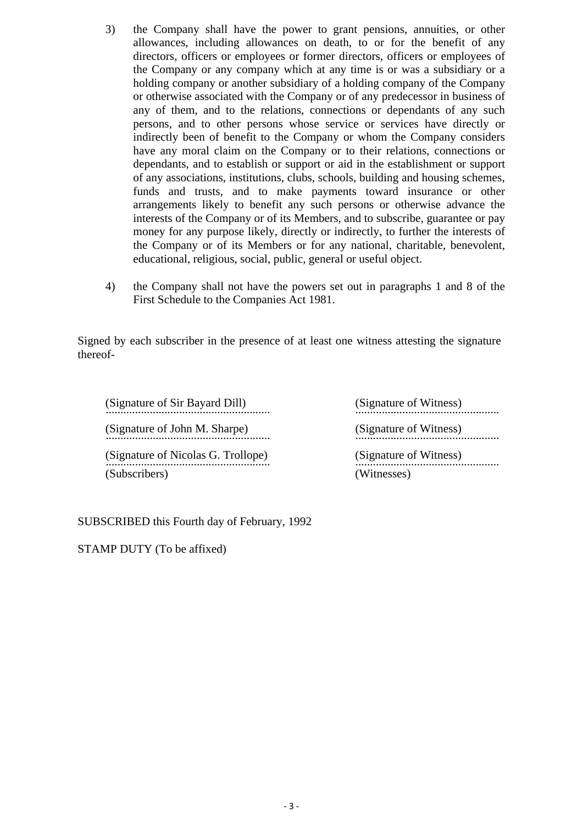- 3) the Company shall have the power to grant pensions, annuities, or other allowances, including allowances on death, to or for the benefit of any directors, officers or employees or former directors, officers or employees of the Company or any company which at any time is or was a subsidiary or a holding company or another subsidiary of a holding company of the Company or otherwise associated with the Company or of any predecessor in business of any of them, and to the relations, connections or dependants of any such persons, and to other persons whose service or services have directly or indirectly been of benefit to the Company or whom the Company considers have any moral claim on the Company or to their relations, connections or dependants, and to establish or support or aid in the establishment or support of any associations, institutions, clubs, schools, building and housing schemes, funds and trusts, and to make payments toward insurance or other arrangements likely to benefit any such persons or otherwise advance the interests of the Company or of its Members, and to subscribe, guarantee or pay money for any purpose likely, directly or indirectly, to further the interests of the Company or of its Members or for any national, charitable, benevolent, educational, religious, social, public, general or useful object.
- 4) the Company shall not have the powers set out in paragraphs 1 and 8 of the First Schedule to the Companies Act 1981.

Signed by each subscriber in the presence of at least one witness attesting the signature thereof-

(Signature of Sir Bayard Dill) (Signature of Witness) (Signature of John M. Sharpe) (Signature of Witness) ........................................................ ................................................. (Signature of Nicolas G. Trollope) (Signature of Witness) ........................................................ ................................................. (Subscribers) (Witnesses)

SUBSCRIBED this Fourth day of February, 1992

STAMP DUTY (To be affixed)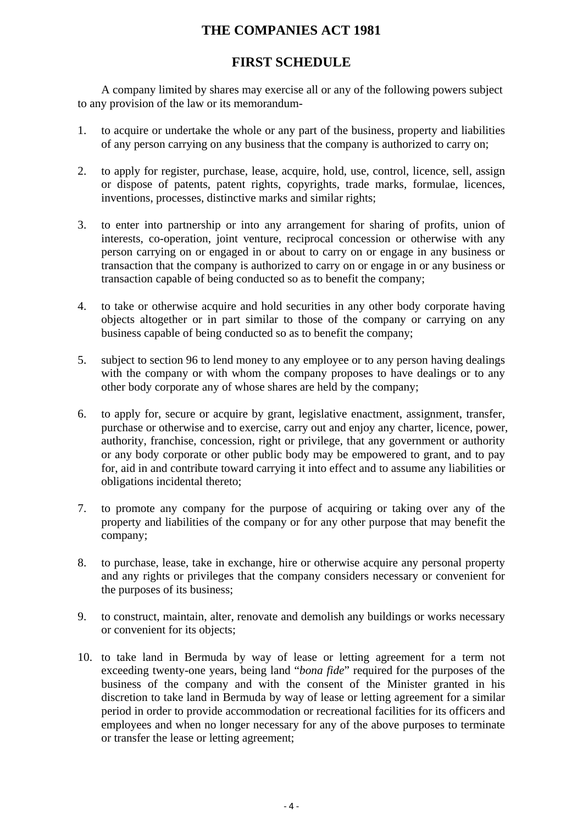# **THE COMPANIES ACT 1981**

# **FIRST SCHEDULE**

A company limited by shares may exercise all or any of the following powers subject to any provision of the law or its memorandum-

- 1. to acquire or undertake the whole or any part of the business, property and liabilities of any person carrying on any business that the company is authorized to carry on;
- 2. to apply for register, purchase, lease, acquire, hold, use, control, licence, sell, assign or dispose of patents, patent rights, copyrights, trade marks, formulae, licences, inventions, processes, distinctive marks and similar rights;
- 3. to enter into partnership or into any arrangement for sharing of profits, union of interests, co-operation, joint venture, reciprocal concession or otherwise with any person carrying on or engaged in or about to carry on or engage in any business or transaction that the company is authorized to carry on or engage in or any business or transaction capable of being conducted so as to benefit the company;
- 4. to take or otherwise acquire and hold securities in any other body corporate having objects altogether or in part similar to those of the company or carrying on any business capable of being conducted so as to benefit the company;
- 5. subject to section 96 to lend money to any employee or to any person having dealings with the company or with whom the company proposes to have dealings or to any other body corporate any of whose shares are held by the company;
- 6. to apply for, secure or acquire by grant, legislative enactment, assignment, transfer, purchase or otherwise and to exercise, carry out and enjoy any charter, licence, power, authority, franchise, concession, right or privilege, that any government or authority or any body corporate or other public body may be empowered to grant, and to pay for, aid in and contribute toward carrying it into effect and to assume any liabilities or obligations incidental thereto;
- 7. to promote any company for the purpose of acquiring or taking over any of the property and liabilities of the company or for any other purpose that may benefit the company;
- 8. to purchase, lease, take in exchange, hire or otherwise acquire any personal property and any rights or privileges that the company considers necessary or convenient for the purposes of its business;
- 9. to construct, maintain, alter, renovate and demolish any buildings or works necessary or convenient for its objects;
- 10. to take land in Bermuda by way of lease or letting agreement for a term not exceeding twenty-one years, being land "*bona fide*" required for the purposes of the business of the company and with the consent of the Minister granted in his discretion to take land in Bermuda by way of lease or letting agreement for a similar period in order to provide accommodation or recreational facilities for its officers and employees and when no longer necessary for any of the above purposes to terminate or transfer the lease or letting agreement;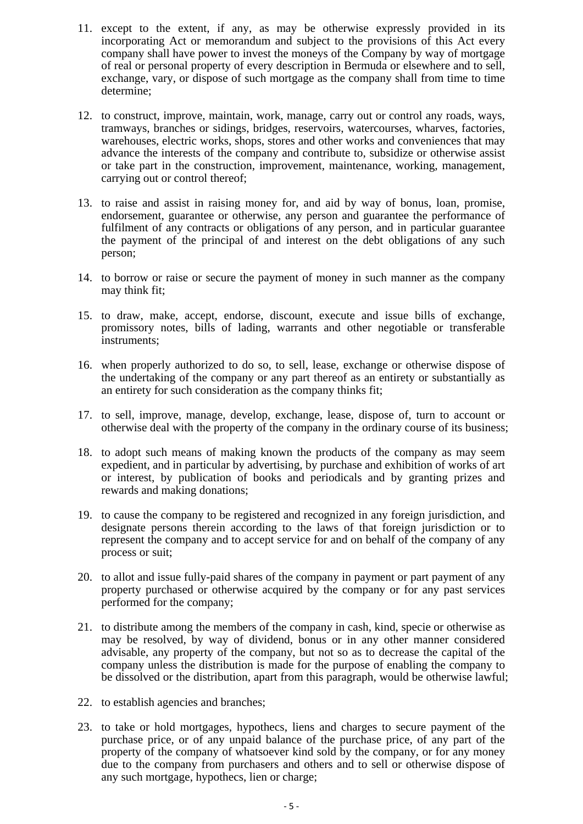- 11. except to the extent, if any, as may be otherwise expressly provided in its incorporating Act or memorandum and subject to the provisions of this Act every company shall have power to invest the moneys of the Company by way of mortgage of real or personal property of every description in Bermuda or elsewhere and to sell, exchange, vary, or dispose of such mortgage as the company shall from time to time determine;
- 12. to construct, improve, maintain, work, manage, carry out or control any roads, ways, tramways, branches or sidings, bridges, reservoirs, watercourses, wharves, factories, warehouses, electric works, shops, stores and other works and conveniences that may advance the interests of the company and contribute to, subsidize or otherwise assist or take part in the construction, improvement, maintenance, working, management, carrying out or control thereof;
- 13. to raise and assist in raising money for, and aid by way of bonus, loan, promise, endorsement, guarantee or otherwise, any person and guarantee the performance of fulfilment of any contracts or obligations of any person, and in particular guarantee the payment of the principal of and interest on the debt obligations of any such person;
- 14. to borrow or raise or secure the payment of money in such manner as the company may think fit;
- 15. to draw, make, accept, endorse, discount, execute and issue bills of exchange, promissory notes, bills of lading, warrants and other negotiable or transferable instruments;
- 16. when properly authorized to do so, to sell, lease, exchange or otherwise dispose of the undertaking of the company or any part thereof as an entirety or substantially as an entirety for such consideration as the company thinks fit;
- 17. to sell, improve, manage, develop, exchange, lease, dispose of, turn to account or otherwise deal with the property of the company in the ordinary course of its business;
- 18. to adopt such means of making known the products of the company as may seem expedient, and in particular by advertising, by purchase and exhibition of works of art or interest, by publication of books and periodicals and by granting prizes and rewards and making donations;
- 19. to cause the company to be registered and recognized in any foreign jurisdiction, and designate persons therein according to the laws of that foreign jurisdiction or to represent the company and to accept service for and on behalf of the company of any process or suit;
- 20. to allot and issue fully-paid shares of the company in payment or part payment of any property purchased or otherwise acquired by the company or for any past services performed for the company;
- 21. to distribute among the members of the company in cash, kind, specie or otherwise as may be resolved, by way of dividend, bonus or in any other manner considered advisable, any property of the company, but not so as to decrease the capital of the company unless the distribution is made for the purpose of enabling the company to be dissolved or the distribution, apart from this paragraph, would be otherwise lawful;
- 22. to establish agencies and branches;
- 23. to take or hold mortgages, hypothecs, liens and charges to secure payment of the purchase price, or of any unpaid balance of the purchase price, of any part of the property of the company of whatsoever kind sold by the company, or for any money due to the company from purchasers and others and to sell or otherwise dispose of any such mortgage, hypothecs, lien or charge;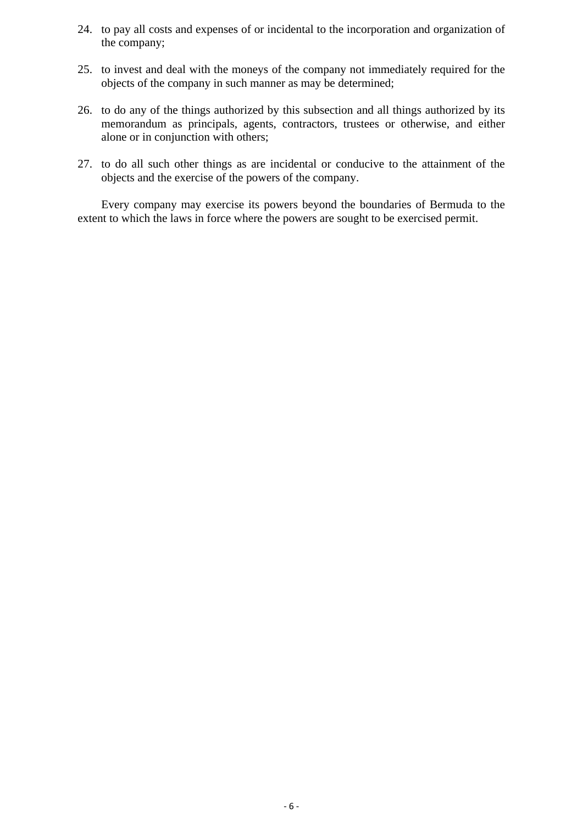- 24. to pay all costs and expenses of or incidental to the incorporation and organization of the company;
- 25. to invest and deal with the moneys of the company not immediately required for the objects of the company in such manner as may be determined;
- 26. to do any of the things authorized by this subsection and all things authorized by its memorandum as principals, agents, contractors, trustees or otherwise, and either alone or in conjunction with others;
- 27. to do all such other things as are incidental or conducive to the attainment of the objects and the exercise of the powers of the company.

Every company may exercise its powers beyond the boundaries of Bermuda to the extent to which the laws in force where the powers are sought to be exercised permit.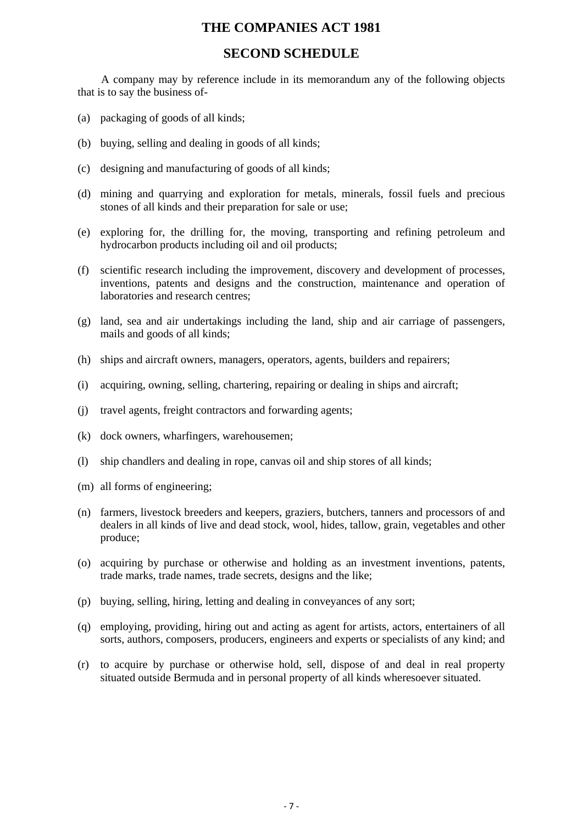# **THE COMPANIES ACT 1981**

### **SECOND SCHEDULE**

A company may by reference include in its memorandum any of the following objects that is to say the business of-

- (a) packaging of goods of all kinds;
- (b) buying, selling and dealing in goods of all kinds;
- (c) designing and manufacturing of goods of all kinds;
- (d) mining and quarrying and exploration for metals, minerals, fossil fuels and precious stones of all kinds and their preparation for sale or use;
- (e) exploring for, the drilling for, the moving, transporting and refining petroleum and hydrocarbon products including oil and oil products;
- (f) scientific research including the improvement, discovery and development of processes, inventions, patents and designs and the construction, maintenance and operation of laboratories and research centres;
- (g) land, sea and air undertakings including the land, ship and air carriage of passengers, mails and goods of all kinds;
- (h) ships and aircraft owners, managers, operators, agents, builders and repairers;
- (i) acquiring, owning, selling, chartering, repairing or dealing in ships and aircraft;
- (j) travel agents, freight contractors and forwarding agents;
- (k) dock owners, wharfingers, warehousemen;
- (l) ship chandlers and dealing in rope, canvas oil and ship stores of all kinds;
- (m) all forms of engineering;
- (n) farmers, livestock breeders and keepers, graziers, butchers, tanners and processors of and dealers in all kinds of live and dead stock, wool, hides, tallow, grain, vegetables and other produce;
- (o) acquiring by purchase or otherwise and holding as an investment inventions, patents, trade marks, trade names, trade secrets, designs and the like;
- (p) buying, selling, hiring, letting and dealing in conveyances of any sort;
- (q) employing, providing, hiring out and acting as agent for artists, actors, entertainers of all sorts, authors, composers, producers, engineers and experts or specialists of any kind; and
- (r) to acquire by purchase or otherwise hold, sell, dispose of and deal in real property situated outside Bermuda and in personal property of all kinds wheresoever situated.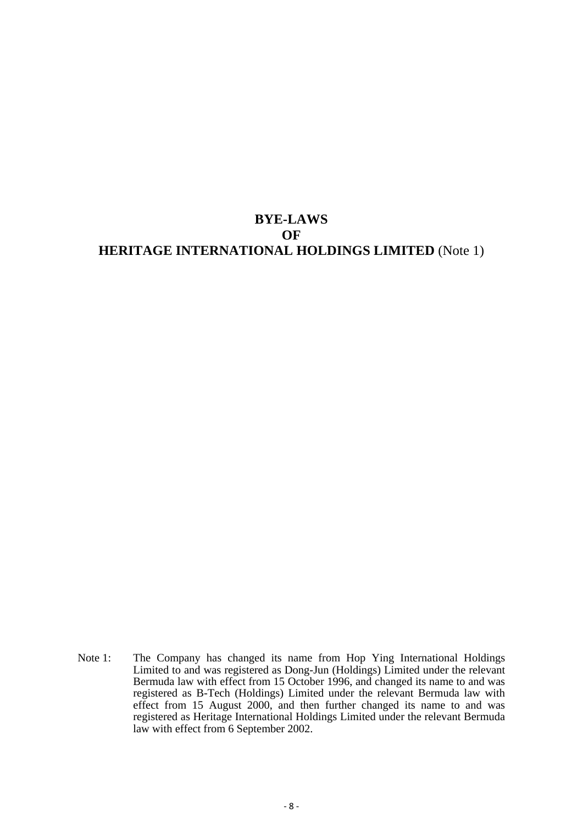# **BYE-LAWS OF HERITAGE INTERNATIONAL HOLDINGS LIMITED** (Note 1)

Note 1: The Company has changed its name from Hop Ying International Holdings Limited to and was registered as Dong-Jun (Holdings) Limited under the relevant Bermuda law with effect from 15 October 1996, and changed its name to and was registered as B-Tech (Holdings) Limited under the relevant Bermuda law with effect from 15 August 2000, and then further changed its name to and was registered as Heritage International Holdings Limited under the relevant Bermuda law with effect from 6 September 2002.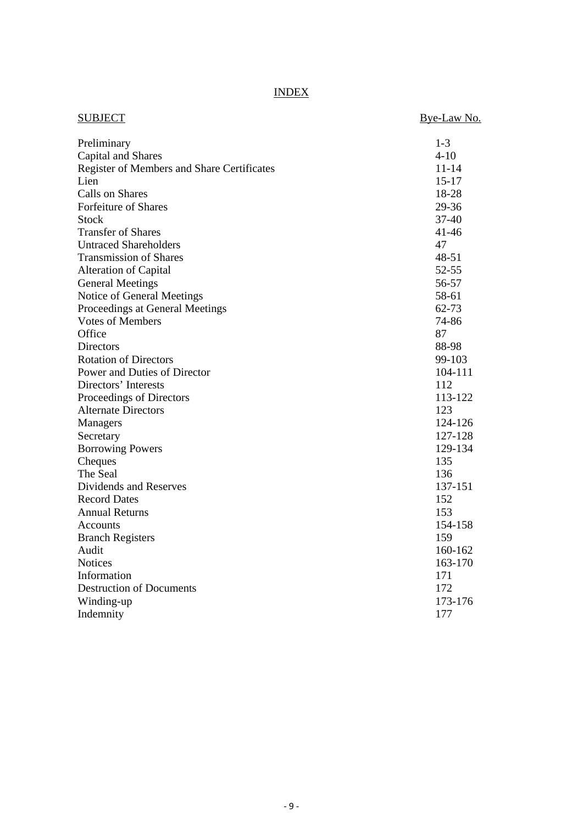INDEX

| <b>SUBJECT</b>                                    | Bye-Law No. |
|---------------------------------------------------|-------------|
| Preliminary                                       | $1 - 3$     |
| Capital and Shares                                | $4 - 10$    |
| <b>Register of Members and Share Certificates</b> | $11 - 14$   |
| Lien                                              | $15 - 17$   |
| Calls on Shares                                   | 18-28       |
| <b>Forfeiture of Shares</b>                       | 29-36       |
| <b>Stock</b>                                      | $37 - 40$   |
| <b>Transfer of Shares</b>                         | $41 - 46$   |
| <b>Untraced Shareholders</b>                      | 47          |
| <b>Transmission of Shares</b>                     | 48-51       |
| Alteration of Capital                             | $52 - 55$   |
| <b>General Meetings</b>                           | 56-57       |
| Notice of General Meetings                        | 58-61       |
| Proceedings at General Meetings                   | 62-73       |
| <b>Votes of Members</b>                           | 74-86       |
| Office                                            | 87          |
| <b>Directors</b>                                  | 88-98       |
| <b>Rotation of Directors</b>                      | 99-103      |
| Power and Duties of Director                      | 104-111     |
| Directors' Interests                              | 112         |
| Proceedings of Directors                          | 113-122     |
| <b>Alternate Directors</b>                        | 123         |
| Managers                                          | 124-126     |
| Secretary                                         | 127-128     |
| <b>Borrowing Powers</b>                           | 129-134     |
| Cheques                                           | 135         |
| The Seal                                          | 136         |
| Dividends and Reserves                            | 137-151     |
| <b>Record Dates</b>                               | 152         |
| <b>Annual Returns</b>                             | 153         |
| Accounts                                          | 154-158     |
| <b>Branch Registers</b>                           | 159         |
| Audit                                             | 160-162     |
| <b>Notices</b>                                    | 163-170     |
| Information                                       | 171         |
| <b>Destruction of Documents</b>                   | 172         |
| Winding-up                                        | 173-176     |
| Indemnity                                         | 177         |
|                                                   |             |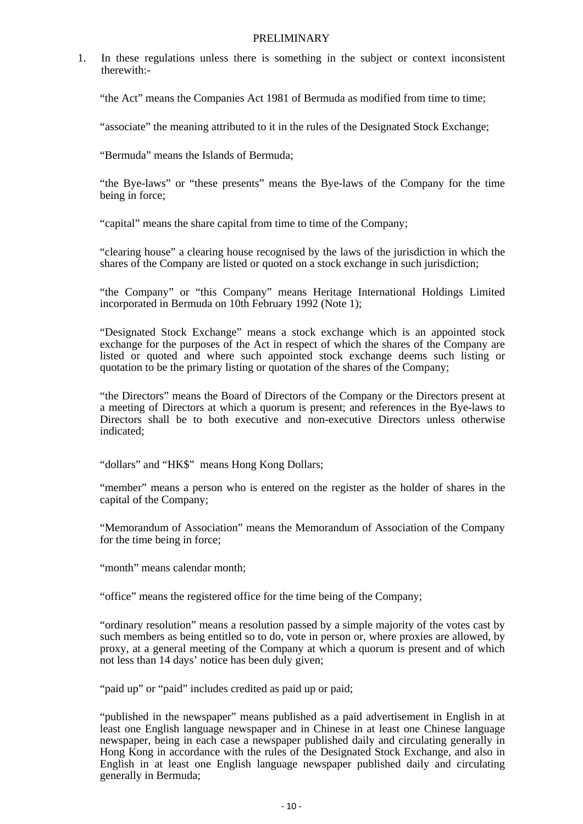#### PRELIMINARY

1. In these regulations unless there is something in the subject or context inconsistent therewith:-

"the Act" means the Companies Act 1981 of Bermuda as modified from time to time;

"associate" the meaning attributed to it in the rules of the Designated Stock Exchange;

"Bermuda" means the Islands of Bermuda;

"the Bye-laws" or "these presents" means the Bye-laws of the Company for the time being in force;

"capital" means the share capital from time to time of the Company;

"clearing house" a clearing house recognised by the laws of the jurisdiction in which the shares of the Company are listed or quoted on a stock exchange in such jurisdiction;

"the Company" or "this Company" means Heritage International Holdings Limited incorporated in Bermuda on 10th February 1992 (Note 1);

"Designated Stock Exchange" means a stock exchange which is an appointed stock exchange for the purposes of the Act in respect of which the shares of the Company are listed or quoted and where such appointed stock exchange deems such listing or quotation to be the primary listing or quotation of the shares of the Company;

"the Directors" means the Board of Directors of the Company or the Directors present at a meeting of Directors at which a quorum is present; and references in the Bye-laws to Directors shall be to both executive and non-executive Directors unless otherwise indicated;

"dollars" and "HK\$" means Hong Kong Dollars;

"member" means a person who is entered on the register as the holder of shares in the capital of the Company;

"Memorandum of Association" means the Memorandum of Association of the Company for the time being in force;

"month" means calendar month;

"office" means the registered office for the time being of the Company;

"ordinary resolution" means a resolution passed by a simple majority of the votes cast by such members as being entitled so to do, vote in person or, where proxies are allowed, by proxy, at a general meeting of the Company at which a quorum is present and of which not less than 14 days' notice has been duly given;

"paid up" or "paid" includes credited as paid up or paid;

"published in the newspaper" means published as a paid advertisement in English in at least one English language newspaper and in Chinese in at least one Chinese language newspaper, being in each case a newspaper published daily and circulating generally in Hong Kong in accordance with the rules of the Designated Stock Exchange, and also in English in at least one English language newspaper published daily and circulating generally in Bermuda;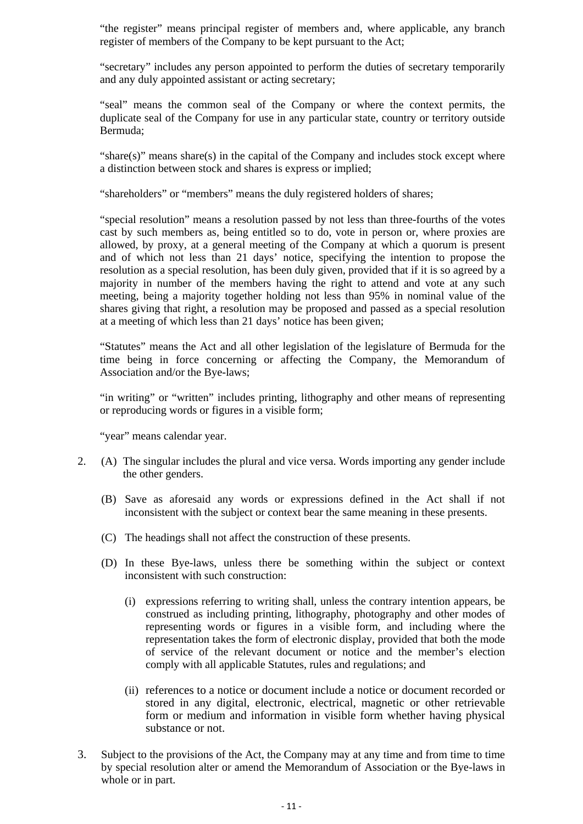"the register" means principal register of members and, where applicable, any branch register of members of the Company to be kept pursuant to the Act;

"secretary" includes any person appointed to perform the duties of secretary temporarily and any duly appointed assistant or acting secretary;

"seal" means the common seal of the Company or where the context permits, the duplicate seal of the Company for use in any particular state, country or territory outside Bermuda;

"share(s)" means share(s) in the capital of the Company and includes stock except where a distinction between stock and shares is express or implied;

"shareholders" or "members" means the duly registered holders of shares;

"special resolution" means a resolution passed by not less than three-fourths of the votes cast by such members as, being entitled so to do, vote in person or, where proxies are allowed, by proxy, at a general meeting of the Company at which a quorum is present and of which not less than 21 days' notice, specifying the intention to propose the resolution as a special resolution, has been duly given, provided that if it is so agreed by a majority in number of the members having the right to attend and vote at any such meeting, being a majority together holding not less than 95% in nominal value of the shares giving that right, a resolution may be proposed and passed as a special resolution at a meeting of which less than 21 days' notice has been given;

"Statutes" means the Act and all other legislation of the legislature of Bermuda for the time being in force concerning or affecting the Company, the Memorandum of Association and/or the Bye-laws;

"in writing" or "written" includes printing, lithography and other means of representing or reproducing words or figures in a visible form;

"year" means calendar year.

- 2. (A) The singular includes the plural and vice versa. Words importing any gender include the other genders.
	- (B) Save as aforesaid any words or expressions defined in the Act shall if not inconsistent with the subject or context bear the same meaning in these presents.
	- (C) The headings shall not affect the construction of these presents.
	- (D) In these Bye-laws, unless there be something within the subject or context inconsistent with such construction:
		- (i) expressions referring to writing shall, unless the contrary intention appears, be construed as including printing, lithography, photography and other modes of representing words or figures in a visible form, and including where the representation takes the form of electronic display, provided that both the mode of service of the relevant document or notice and the member's election comply with all applicable Statutes, rules and regulations; and
		- (ii) references to a notice or document include a notice or document recorded or stored in any digital, electronic, electrical, magnetic or other retrievable form or medium and information in visible form whether having physical substance or not.
- 3. Subject to the provisions of the Act, the Company may at any time and from time to time by special resolution alter or amend the Memorandum of Association or the Bye-laws in whole or in part.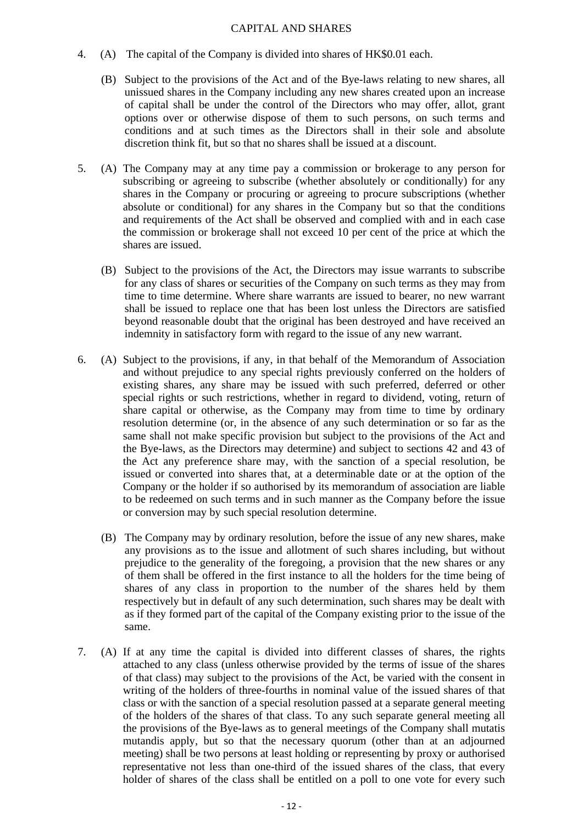#### CAPITAL AND SHARES

- 4. (A) The capital of the Company is divided into shares of HK\$0.01 each.
	- (B) Subject to the provisions of the Act and of the Bye-laws relating to new shares, all unissued shares in the Company including any new shares created upon an increase of capital shall be under the control of the Directors who may offer, allot, grant options over or otherwise dispose of them to such persons, on such terms and conditions and at such times as the Directors shall in their sole and absolute discretion think fit, but so that no shares shall be issued at a discount.
- 5. (A) The Company may at any time pay a commission or brokerage to any person for subscribing or agreeing to subscribe (whether absolutely or conditionally) for any shares in the Company or procuring or agreeing to procure subscriptions (whether absolute or conditional) for any shares in the Company but so that the conditions and requirements of the Act shall be observed and complied with and in each case the commission or brokerage shall not exceed 10 per cent of the price at which the shares are issued.
	- (B) Subject to the provisions of the Act, the Directors may issue warrants to subscribe for any class of shares or securities of the Company on such terms as they may from time to time determine. Where share warrants are issued to bearer, no new warrant shall be issued to replace one that has been lost unless the Directors are satisfied beyond reasonable doubt that the original has been destroyed and have received an indemnity in satisfactory form with regard to the issue of any new warrant.
- 6. (A) Subject to the provisions, if any, in that behalf of the Memorandum of Association and without prejudice to any special rights previously conferred on the holders of existing shares, any share may be issued with such preferred, deferred or other special rights or such restrictions, whether in regard to dividend, voting, return of share capital or otherwise, as the Company may from time to time by ordinary resolution determine (or, in the absence of any such determination or so far as the same shall not make specific provision but subject to the provisions of the Act and the Bye-laws, as the Directors may determine) and subject to sections 42 and 43 of the Act any preference share may, with the sanction of a special resolution, be issued or converted into shares that, at a determinable date or at the option of the Company or the holder if so authorised by its memorandum of association are liable to be redeemed on such terms and in such manner as the Company before the issue or conversion may by such special resolution determine.
	- (B) The Company may by ordinary resolution, before the issue of any new shares, make any provisions as to the issue and allotment of such shares including, but without prejudice to the generality of the foregoing, a provision that the new shares or any of them shall be offered in the first instance to all the holders for the time being of shares of any class in proportion to the number of the shares held by them respectively but in default of any such determination, such shares may be dealt with as if they formed part of the capital of the Company existing prior to the issue of the same.
- 7. (A) If at any time the capital is divided into different classes of shares, the rights attached to any class (unless otherwise provided by the terms of issue of the shares of that class) may subject to the provisions of the Act, be varied with the consent in writing of the holders of three-fourths in nominal value of the issued shares of that class or with the sanction of a special resolution passed at a separate general meeting of the holders of the shares of that class. To any such separate general meeting all the provisions of the Bye-laws as to general meetings of the Company shall mutatis mutandis apply, but so that the necessary quorum (other than at an adjourned meeting) shall be two persons at least holding or representing by proxy or authorised representative not less than one-third of the issued shares of the class, that every holder of shares of the class shall be entitled on a poll to one vote for every such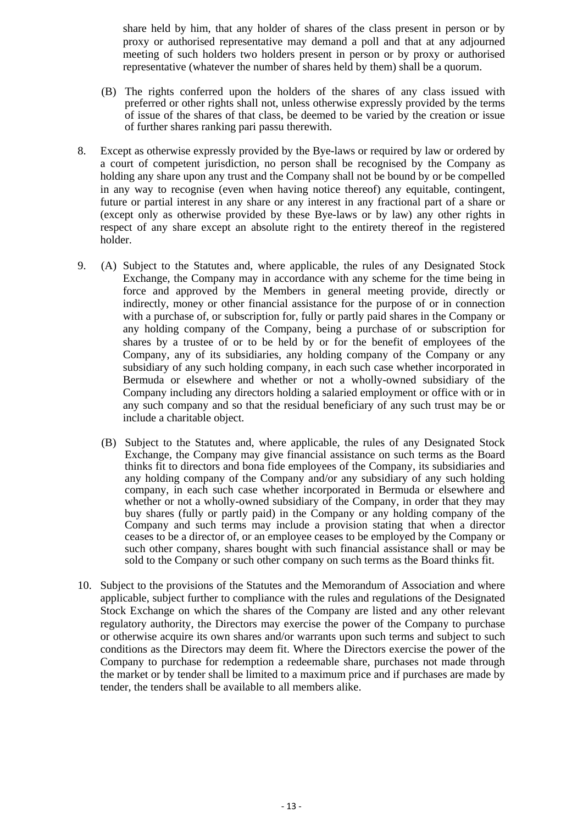share held by him, that any holder of shares of the class present in person or by proxy or authorised representative may demand a poll and that at any adjourned meeting of such holders two holders present in person or by proxy or authorised representative (whatever the number of shares held by them) shall be a quorum.

- (B) The rights conferred upon the holders of the shares of any class issued with preferred or other rights shall not, unless otherwise expressly provided by the terms of issue of the shares of that class, be deemed to be varied by the creation or issue of further shares ranking pari passu therewith.
- 8. Except as otherwise expressly provided by the Bye-laws or required by law or ordered by a court of competent jurisdiction, no person shall be recognised by the Company as holding any share upon any trust and the Company shall not be bound by or be compelled in any way to recognise (even when having notice thereof) any equitable, contingent, future or partial interest in any share or any interest in any fractional part of a share or (except only as otherwise provided by these Bye-laws or by law) any other rights in respect of any share except an absolute right to the entirety thereof in the registered holder.
- 9. (A) Subject to the Statutes and, where applicable, the rules of any Designated Stock Exchange, the Company may in accordance with any scheme for the time being in force and approved by the Members in general meeting provide, directly or indirectly, money or other financial assistance for the purpose of or in connection with a purchase of, or subscription for, fully or partly paid shares in the Company or any holding company of the Company, being a purchase of or subscription for shares by a trustee of or to be held by or for the benefit of employees of the Company, any of its subsidiaries, any holding company of the Company or any subsidiary of any such holding company, in each such case whether incorporated in Bermuda or elsewhere and whether or not a wholly-owned subsidiary of the Company including any directors holding a salaried employment or office with or in any such company and so that the residual beneficiary of any such trust may be or include a charitable object.
	- (B) Subject to the Statutes and, where applicable, the rules of any Designated Stock Exchange, the Company may give financial assistance on such terms as the Board thinks fit to directors and bona fide employees of the Company, its subsidiaries and any holding company of the Company and/or any subsidiary of any such holding company, in each such case whether incorporated in Bermuda or elsewhere and whether or not a wholly-owned subsidiary of the Company, in order that they may buy shares (fully or partly paid) in the Company or any holding company of the Company and such terms may include a provision stating that when a director ceases to be a director of, or an employee ceases to be employed by the Company or such other company, shares bought with such financial assistance shall or may be sold to the Company or such other company on such terms as the Board thinks fit.
- 10. Subject to the provisions of the Statutes and the Memorandum of Association and where applicable, subject further to compliance with the rules and regulations of the Designated Stock Exchange on which the shares of the Company are listed and any other relevant regulatory authority, the Directors may exercise the power of the Company to purchase or otherwise acquire its own shares and/or warrants upon such terms and subject to such conditions as the Directors may deem fit. Where the Directors exercise the power of the Company to purchase for redemption a redeemable share, purchases not made through the market or by tender shall be limited to a maximum price and if purchases are made by tender, the tenders shall be available to all members alike.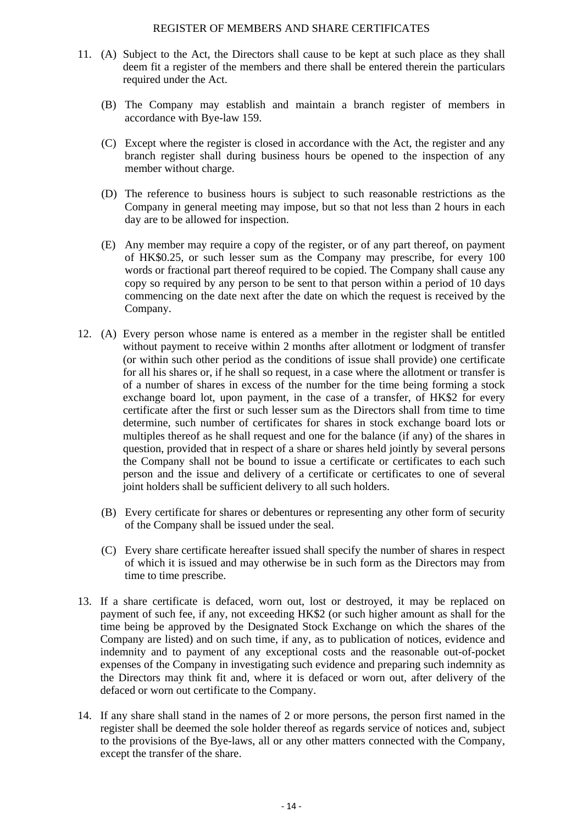#### REGISTER OF MEMBERS AND SHARE CERTIFICATES

- 11. (A) Subject to the Act, the Directors shall cause to be kept at such place as they shall deem fit a register of the members and there shall be entered therein the particulars required under the Act.
	- (B) The Company may establish and maintain a branch register of members in accordance with Bye-law 159.
	- (C) Except where the register is closed in accordance with the Act, the register and any branch register shall during business hours be opened to the inspection of any member without charge.
	- (D) The reference to business hours is subject to such reasonable restrictions as the Company in general meeting may impose, but so that not less than 2 hours in each day are to be allowed for inspection.
	- (E) Any member may require a copy of the register, or of any part thereof, on payment of HK\$0.25, or such lesser sum as the Company may prescribe, for every 100 words or fractional part thereof required to be copied. The Company shall cause any copy so required by any person to be sent to that person within a period of 10 days commencing on the date next after the date on which the request is received by the Company.
- 12. (A) Every person whose name is entered as a member in the register shall be entitled without payment to receive within 2 months after allotment or lodgment of transfer (or within such other period as the conditions of issue shall provide) one certificate for all his shares or, if he shall so request, in a case where the allotment or transfer is of a number of shares in excess of the number for the time being forming a stock exchange board lot, upon payment, in the case of a transfer, of HK\$2 for every certificate after the first or such lesser sum as the Directors shall from time to time determine, such number of certificates for shares in stock exchange board lots or multiples thereof as he shall request and one for the balance (if any) of the shares in question, provided that in respect of a share or shares held jointly by several persons the Company shall not be bound to issue a certificate or certificates to each such person and the issue and delivery of a certificate or certificates to one of several joint holders shall be sufficient delivery to all such holders.
	- (B) Every certificate for shares or debentures or representing any other form of security of the Company shall be issued under the seal.
	- (C) Every share certificate hereafter issued shall specify the number of shares in respect of which it is issued and may otherwise be in such form as the Directors may from time to time prescribe.
- 13. If a share certificate is defaced, worn out, lost or destroyed, it may be replaced on payment of such fee, if any, not exceeding HK\$2 (or such higher amount as shall for the time being be approved by the Designated Stock Exchange on which the shares of the Company are listed) and on such time, if any, as to publication of notices, evidence and indemnity and to payment of any exceptional costs and the reasonable out-of-pocket expenses of the Company in investigating such evidence and preparing such indemnity as the Directors may think fit and, where it is defaced or worn out, after delivery of the defaced or worn out certificate to the Company.
- 14. If any share shall stand in the names of 2 or more persons, the person first named in the register shall be deemed the sole holder thereof as regards service of notices and, subject to the provisions of the Bye-laws, all or any other matters connected with the Company, except the transfer of the share.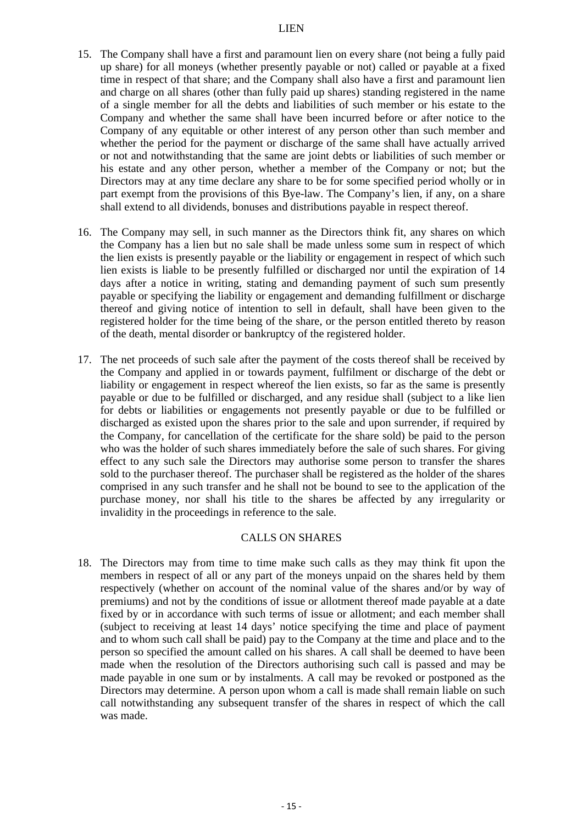- 15. The Company shall have a first and paramount lien on every share (not being a fully paid up share) for all moneys (whether presently payable or not) called or payable at a fixed time in respect of that share; and the Company shall also have a first and paramount lien and charge on all shares (other than fully paid up shares) standing registered in the name of a single member for all the debts and liabilities of such member or his estate to the Company and whether the same shall have been incurred before or after notice to the Company of any equitable or other interest of any person other than such member and whether the period for the payment or discharge of the same shall have actually arrived or not and notwithstanding that the same are joint debts or liabilities of such member or his estate and any other person, whether a member of the Company or not; but the Directors may at any time declare any share to be for some specified period wholly or in part exempt from the provisions of this Bye-law. The Company's lien, if any, on a share shall extend to all dividends, bonuses and distributions payable in respect thereof.
- 16. The Company may sell, in such manner as the Directors think fit, any shares on which the Company has a lien but no sale shall be made unless some sum in respect of which the lien exists is presently payable or the liability or engagement in respect of which such lien exists is liable to be presently fulfilled or discharged nor until the expiration of 14 days after a notice in writing, stating and demanding payment of such sum presently payable or specifying the liability or engagement and demanding fulfillment or discharge thereof and giving notice of intention to sell in default, shall have been given to the registered holder for the time being of the share, or the person entitled thereto by reason of the death, mental disorder or bankruptcy of the registered holder.
- 17. The net proceeds of such sale after the payment of the costs thereof shall be received by the Company and applied in or towards payment, fulfilment or discharge of the debt or liability or engagement in respect whereof the lien exists, so far as the same is presently payable or due to be fulfilled or discharged, and any residue shall (subject to a like lien for debts or liabilities or engagements not presently payable or due to be fulfilled or discharged as existed upon the shares prior to the sale and upon surrender, if required by the Company, for cancellation of the certificate for the share sold) be paid to the person who was the holder of such shares immediately before the sale of such shares. For giving effect to any such sale the Directors may authorise some person to transfer the shares sold to the purchaser thereof. The purchaser shall be registered as the holder of the shares comprised in any such transfer and he shall not be bound to see to the application of the purchase money, nor shall his title to the shares be affected by any irregularity or invalidity in the proceedings in reference to the sale.

#### CALLS ON SHARES

18. The Directors may from time to time make such calls as they may think fit upon the members in respect of all or any part of the moneys unpaid on the shares held by them respectively (whether on account of the nominal value of the shares and/or by way of premiums) and not by the conditions of issue or allotment thereof made payable at a date fixed by or in accordance with such terms of issue or allotment; and each member shall (subject to receiving at least 14 days' notice specifying the time and place of payment and to whom such call shall be paid) pay to the Company at the time and place and to the person so specified the amount called on his shares. A call shall be deemed to have been made when the resolution of the Directors authorising such call is passed and may be made payable in one sum or by instalments. A call may be revoked or postponed as the Directors may determine. A person upon whom a call is made shall remain liable on such call notwithstanding any subsequent transfer of the shares in respect of which the call was made.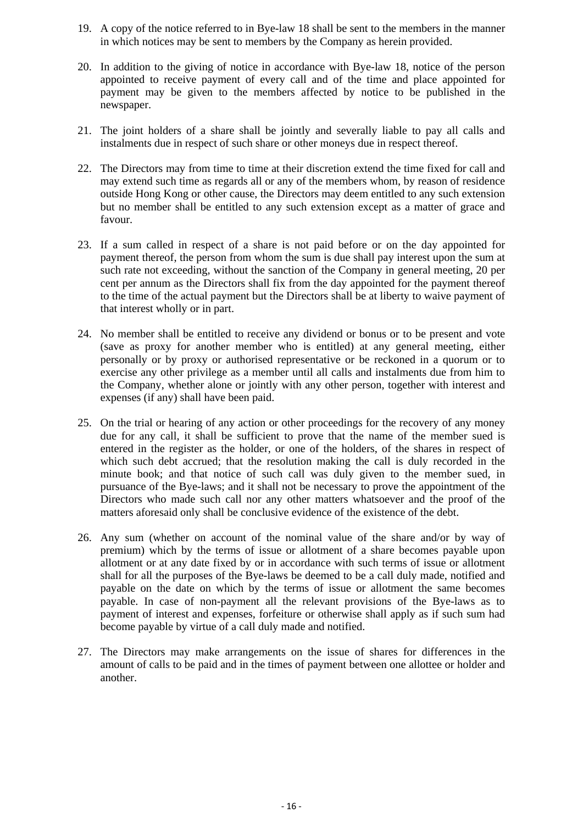- 19. A copy of the notice referred to in Bye-law 18 shall be sent to the members in the manner in which notices may be sent to members by the Company as herein provided.
- 20. In addition to the giving of notice in accordance with Bye-law 18, notice of the person appointed to receive payment of every call and of the time and place appointed for payment may be given to the members affected by notice to be published in the newspaper.
- 21. The joint holders of a share shall be jointly and severally liable to pay all calls and instalments due in respect of such share or other moneys due in respect thereof.
- 22. The Directors may from time to time at their discretion extend the time fixed for call and may extend such time as regards all or any of the members whom, by reason of residence outside Hong Kong or other cause, the Directors may deem entitled to any such extension but no member shall be entitled to any such extension except as a matter of grace and favour.
- 23. If a sum called in respect of a share is not paid before or on the day appointed for payment thereof, the person from whom the sum is due shall pay interest upon the sum at such rate not exceeding, without the sanction of the Company in general meeting, 20 per cent per annum as the Directors shall fix from the day appointed for the payment thereof to the time of the actual payment but the Directors shall be at liberty to waive payment of that interest wholly or in part.
- 24. No member shall be entitled to receive any dividend or bonus or to be present and vote (save as proxy for another member who is entitled) at any general meeting, either personally or by proxy or authorised representative or be reckoned in a quorum or to exercise any other privilege as a member until all calls and instalments due from him to the Company, whether alone or jointly with any other person, together with interest and expenses (if any) shall have been paid.
- 25. On the trial or hearing of any action or other proceedings for the recovery of any money due for any call, it shall be sufficient to prove that the name of the member sued is entered in the register as the holder, or one of the holders, of the shares in respect of which such debt accrued; that the resolution making the call is duly recorded in the minute book; and that notice of such call was duly given to the member sued, in pursuance of the Bye-laws; and it shall not be necessary to prove the appointment of the Directors who made such call nor any other matters whatsoever and the proof of the matters aforesaid only shall be conclusive evidence of the existence of the debt.
- 26. Any sum (whether on account of the nominal value of the share and/or by way of premium) which by the terms of issue or allotment of a share becomes payable upon allotment or at any date fixed by or in accordance with such terms of issue or allotment shall for all the purposes of the Bye-laws be deemed to be a call duly made, notified and payable on the date on which by the terms of issue or allotment the same becomes payable. In case of non-payment all the relevant provisions of the Bye-laws as to payment of interest and expenses, forfeiture or otherwise shall apply as if such sum had become payable by virtue of a call duly made and notified.
- 27. The Directors may make arrangements on the issue of shares for differences in the amount of calls to be paid and in the times of payment between one allottee or holder and another.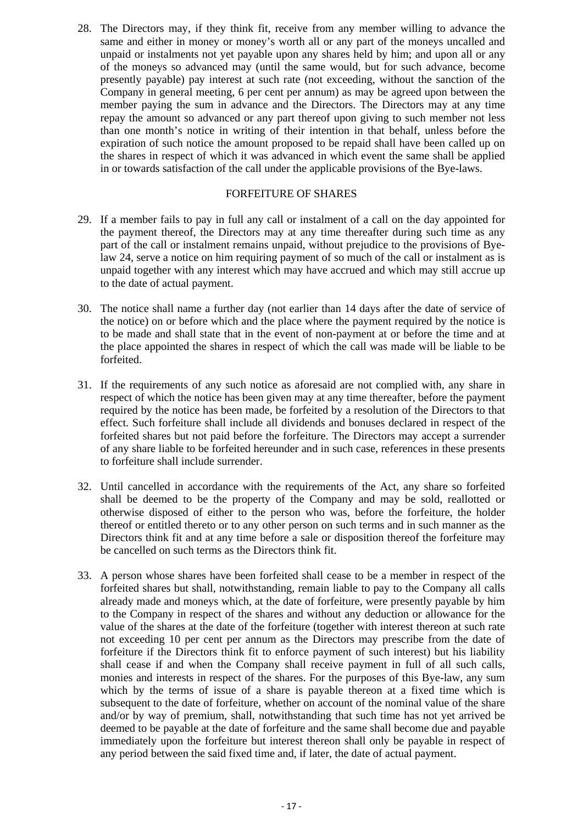28. The Directors may, if they think fit, receive from any member willing to advance the same and either in money or money's worth all or any part of the moneys uncalled and unpaid or instalments not yet payable upon any shares held by him; and upon all or any of the moneys so advanced may (until the same would, but for such advance, become presently payable) pay interest at such rate (not exceeding, without the sanction of the Company in general meeting, 6 per cent per annum) as may be agreed upon between the member paying the sum in advance and the Directors. The Directors may at any time repay the amount so advanced or any part thereof upon giving to such member not less than one month's notice in writing of their intention in that behalf, unless before the expiration of such notice the amount proposed to be repaid shall have been called up on the shares in respect of which it was advanced in which event the same shall be applied in or towards satisfaction of the call under the applicable provisions of the Bye-laws.

#### FORFEITURE OF SHARES

- 29. If a member fails to pay in full any call or instalment of a call on the day appointed for the payment thereof, the Directors may at any time thereafter during such time as any part of the call or instalment remains unpaid, without prejudice to the provisions of Byelaw 24, serve a notice on him requiring payment of so much of the call or instalment as is unpaid together with any interest which may have accrued and which may still accrue up to the date of actual payment.
- 30. The notice shall name a further day (not earlier than 14 days after the date of service of the notice) on or before which and the place where the payment required by the notice is to be made and shall state that in the event of non-payment at or before the time and at the place appointed the shares in respect of which the call was made will be liable to be forfeited.
- 31. If the requirements of any such notice as aforesaid are not complied with, any share in respect of which the notice has been given may at any time thereafter, before the payment required by the notice has been made, be forfeited by a resolution of the Directors to that effect. Such forfeiture shall include all dividends and bonuses declared in respect of the forfeited shares but not paid before the forfeiture. The Directors may accept a surrender of any share liable to be forfeited hereunder and in such case, references in these presents to forfeiture shall include surrender.
- 32. Until cancelled in accordance with the requirements of the Act, any share so forfeited shall be deemed to be the property of the Company and may be sold, reallotted or otherwise disposed of either to the person who was, before the forfeiture, the holder thereof or entitled thereto or to any other person on such terms and in such manner as the Directors think fit and at any time before a sale or disposition thereof the forfeiture may be cancelled on such terms as the Directors think fit.
- 33. A person whose shares have been forfeited shall cease to be a member in respect of the forfeited shares but shall, notwithstanding, remain liable to pay to the Company all calls already made and moneys which, at the date of forfeiture, were presently payable by him to the Company in respect of the shares and without any deduction or allowance for the value of the shares at the date of the forfeiture (together with interest thereon at such rate not exceeding 10 per cent per annum as the Directors may prescribe from the date of forfeiture if the Directors think fit to enforce payment of such interest) but his liability shall cease if and when the Company shall receive payment in full of all such calls, monies and interests in respect of the shares. For the purposes of this Bye-law, any sum which by the terms of issue of a share is payable thereon at a fixed time which is subsequent to the date of forfeiture, whether on account of the nominal value of the share and/or by way of premium, shall, notwithstanding that such time has not yet arrived be deemed to be payable at the date of forfeiture and the same shall become due and payable immediately upon the forfeiture but interest thereon shall only be payable in respect of any period between the said fixed time and, if later, the date of actual payment.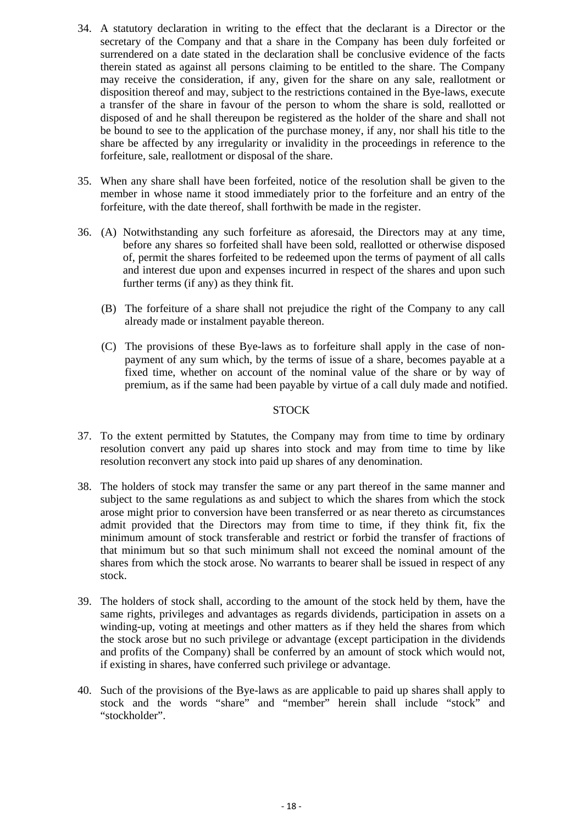- 34. A statutory declaration in writing to the effect that the declarant is a Director or the secretary of the Company and that a share in the Company has been duly forfeited or surrendered on a date stated in the declaration shall be conclusive evidence of the facts therein stated as against all persons claiming to be entitled to the share. The Company may receive the consideration, if any, given for the share on any sale, reallotment or disposition thereof and may, subject to the restrictions contained in the Bye-laws, execute a transfer of the share in favour of the person to whom the share is sold, reallotted or disposed of and he shall thereupon be registered as the holder of the share and shall not be bound to see to the application of the purchase money, if any, nor shall his title to the share be affected by any irregularity or invalidity in the proceedings in reference to the forfeiture, sale, reallotment or disposal of the share.
- 35. When any share shall have been forfeited, notice of the resolution shall be given to the member in whose name it stood immediately prior to the forfeiture and an entry of the forfeiture, with the date thereof, shall forthwith be made in the register.
- 36. (A) Notwithstanding any such forfeiture as aforesaid, the Directors may at any time, before any shares so forfeited shall have been sold, reallotted or otherwise disposed of, permit the shares forfeited to be redeemed upon the terms of payment of all calls and interest due upon and expenses incurred in respect of the shares and upon such further terms (if any) as they think fit.
	- (B) The forfeiture of a share shall not prejudice the right of the Company to any call already made or instalment payable thereon.
	- (C) The provisions of these Bye-laws as to forfeiture shall apply in the case of nonpayment of any sum which, by the terms of issue of a share, becomes payable at a fixed time, whether on account of the nominal value of the share or by way of premium, as if the same had been payable by virtue of a call duly made and notified.

#### **STOCK**

- 37. To the extent permitted by Statutes, the Company may from time to time by ordinary resolution convert any paid up shares into stock and may from time to time by like resolution reconvert any stock into paid up shares of any denomination.
- 38. The holders of stock may transfer the same or any part thereof in the same manner and subject to the same regulations as and subject to which the shares from which the stock arose might prior to conversion have been transferred or as near thereto as circumstances admit provided that the Directors may from time to time, if they think fit, fix the minimum amount of stock transferable and restrict or forbid the transfer of fractions of that minimum but so that such minimum shall not exceed the nominal amount of the shares from which the stock arose. No warrants to bearer shall be issued in respect of any stock.
- 39. The holders of stock shall, according to the amount of the stock held by them, have the same rights, privileges and advantages as regards dividends, participation in assets on a winding-up, voting at meetings and other matters as if they held the shares from which the stock arose but no such privilege or advantage (except participation in the dividends and profits of the Company) shall be conferred by an amount of stock which would not, if existing in shares, have conferred such privilege or advantage.
- 40. Such of the provisions of the Bye-laws as are applicable to paid up shares shall apply to stock and the words "share" and "member" herein shall include "stock" and "stockholder".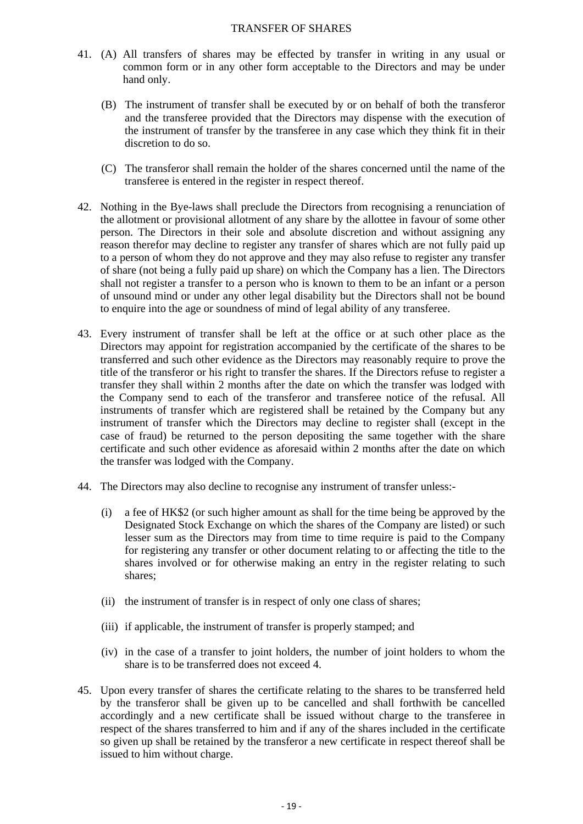#### TRANSFER OF SHARES

- 41. (A) All transfers of shares may be effected by transfer in writing in any usual or common form or in any other form acceptable to the Directors and may be under hand only.
	- (B) The instrument of transfer shall be executed by or on behalf of both the transferor and the transferee provided that the Directors may dispense with the execution of the instrument of transfer by the transferee in any case which they think fit in their discretion to do so.
	- (C) The transferor shall remain the holder of the shares concerned until the name of the transferee is entered in the register in respect thereof.
- 42. Nothing in the Bye-laws shall preclude the Directors from recognising a renunciation of the allotment or provisional allotment of any share by the allottee in favour of some other person. The Directors in their sole and absolute discretion and without assigning any reason therefor may decline to register any transfer of shares which are not fully paid up to a person of whom they do not approve and they may also refuse to register any transfer of share (not being a fully paid up share) on which the Company has a lien. The Directors shall not register a transfer to a person who is known to them to be an infant or a person of unsound mind or under any other legal disability but the Directors shall not be bound to enquire into the age or soundness of mind of legal ability of any transferee.
- 43. Every instrument of transfer shall be left at the office or at such other place as the Directors may appoint for registration accompanied by the certificate of the shares to be transferred and such other evidence as the Directors may reasonably require to prove the title of the transferor or his right to transfer the shares. If the Directors refuse to register a transfer they shall within 2 months after the date on which the transfer was lodged with the Company send to each of the transferor and transferee notice of the refusal. All instruments of transfer which are registered shall be retained by the Company but any instrument of transfer which the Directors may decline to register shall (except in the case of fraud) be returned to the person depositing the same together with the share certificate and such other evidence as aforesaid within 2 months after the date on which the transfer was lodged with the Company.
- 44. The Directors may also decline to recognise any instrument of transfer unless:-
	- (i) a fee of HK\$2 (or such higher amount as shall for the time being be approved by the Designated Stock Exchange on which the shares of the Company are listed) or such lesser sum as the Directors may from time to time require is paid to the Company for registering any transfer or other document relating to or affecting the title to the shares involved or for otherwise making an entry in the register relating to such shares;
	- (ii) the instrument of transfer is in respect of only one class of shares;
	- (iii) if applicable, the instrument of transfer is properly stamped; and
	- (iv) in the case of a transfer to joint holders, the number of joint holders to whom the share is to be transferred does not exceed 4.
- 45. Upon every transfer of shares the certificate relating to the shares to be transferred held by the transferor shall be given up to be cancelled and shall forthwith be cancelled accordingly and a new certificate shall be issued without charge to the transferee in respect of the shares transferred to him and if any of the shares included in the certificate so given up shall be retained by the transferor a new certificate in respect thereof shall be issued to him without charge.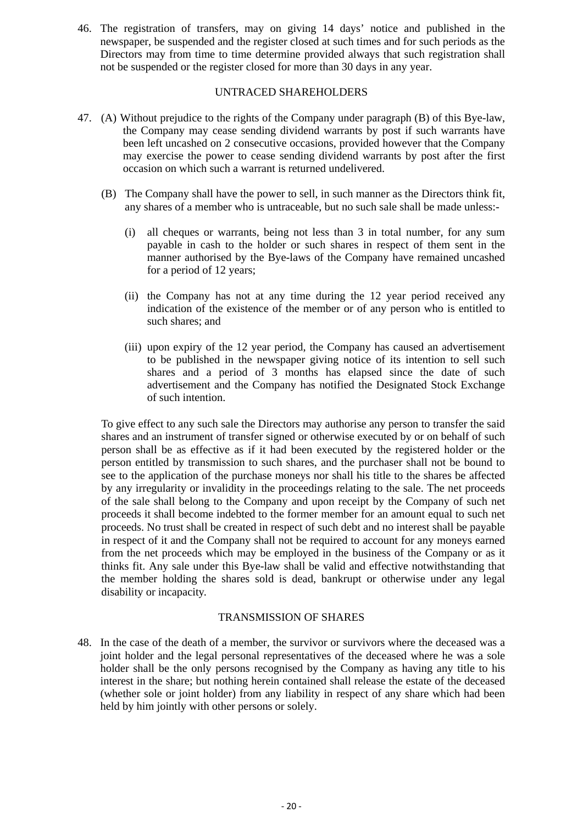46. The registration of transfers, may on giving 14 days' notice and published in the newspaper, be suspended and the register closed at such times and for such periods as the Directors may from time to time determine provided always that such registration shall not be suspended or the register closed for more than 30 days in any year.

#### UNTRACED SHAREHOLDERS

- 47. (A) Without prejudice to the rights of the Company under paragraph (B) of this Bye-law, the Company may cease sending dividend warrants by post if such warrants have been left uncashed on 2 consecutive occasions, provided however that the Company may exercise the power to cease sending dividend warrants by post after the first occasion on which such a warrant is returned undelivered.
	- (B) The Company shall have the power to sell, in such manner as the Directors think fit, any shares of a member who is untraceable, but no such sale shall be made unless:-
		- (i) all cheques or warrants, being not less than 3 in total number, for any sum payable in cash to the holder or such shares in respect of them sent in the manner authorised by the Bye-laws of the Company have remained uncashed for a period of 12 years;
		- (ii) the Company has not at any time during the 12 year period received any indication of the existence of the member or of any person who is entitled to such shares; and
		- (iii) upon expiry of the 12 year period, the Company has caused an advertisement to be published in the newspaper giving notice of its intention to sell such shares and a period of 3 months has elapsed since the date of such advertisement and the Company has notified the Designated Stock Exchange of such intention.

To give effect to any such sale the Directors may authorise any person to transfer the said shares and an instrument of transfer signed or otherwise executed by or on behalf of such person shall be as effective as if it had been executed by the registered holder or the person entitled by transmission to such shares, and the purchaser shall not be bound to see to the application of the purchase moneys nor shall his title to the shares be affected by any irregularity or invalidity in the proceedings relating to the sale. The net proceeds of the sale shall belong to the Company and upon receipt by the Company of such net proceeds it shall become indebted to the former member for an amount equal to such net proceeds. No trust shall be created in respect of such debt and no interest shall be payable in respect of it and the Company shall not be required to account for any moneys earned from the net proceeds which may be employed in the business of the Company or as it thinks fit. Any sale under this Bye-law shall be valid and effective notwithstanding that the member holding the shares sold is dead, bankrupt or otherwise under any legal disability or incapacity.

#### TRANSMISSION OF SHARES

48. In the case of the death of a member, the survivor or survivors where the deceased was a joint holder and the legal personal representatives of the deceased where he was a sole holder shall be the only persons recognised by the Company as having any title to his interest in the share; but nothing herein contained shall release the estate of the deceased (whether sole or joint holder) from any liability in respect of any share which had been held by him jointly with other persons or solely.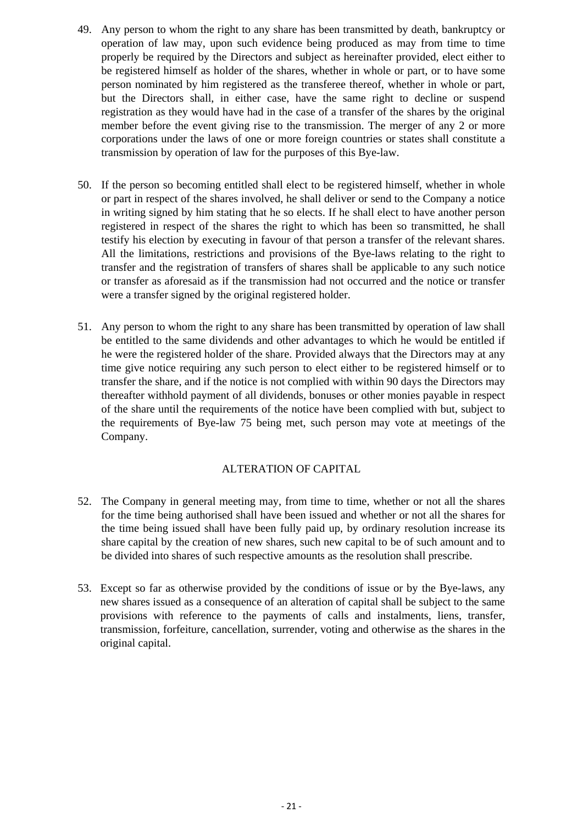- 49. Any person to whom the right to any share has been transmitted by death, bankruptcy or operation of law may, upon such evidence being produced as may from time to time properly be required by the Directors and subject as hereinafter provided, elect either to be registered himself as holder of the shares, whether in whole or part, or to have some person nominated by him registered as the transferee thereof, whether in whole or part, but the Directors shall, in either case, have the same right to decline or suspend registration as they would have had in the case of a transfer of the shares by the original member before the event giving rise to the transmission. The merger of any 2 or more corporations under the laws of one or more foreign countries or states shall constitute a transmission by operation of law for the purposes of this Bye-law.
- 50. If the person so becoming entitled shall elect to be registered himself, whether in whole or part in respect of the shares involved, he shall deliver or send to the Company a notice in writing signed by him stating that he so elects. If he shall elect to have another person registered in respect of the shares the right to which has been so transmitted, he shall testify his election by executing in favour of that person a transfer of the relevant shares. All the limitations, restrictions and provisions of the Bye-laws relating to the right to transfer and the registration of transfers of shares shall be applicable to any such notice or transfer as aforesaid as if the transmission had not occurred and the notice or transfer were a transfer signed by the original registered holder.
- 51. Any person to whom the right to any share has been transmitted by operation of law shall be entitled to the same dividends and other advantages to which he would be entitled if he were the registered holder of the share. Provided always that the Directors may at any time give notice requiring any such person to elect either to be registered himself or to transfer the share, and if the notice is not complied with within 90 days the Directors may thereafter withhold payment of all dividends, bonuses or other monies payable in respect of the share until the requirements of the notice have been complied with but, subject to the requirements of Bye-law 75 being met, such person may vote at meetings of the Company.

#### ALTERATION OF CAPITAL

- 52. The Company in general meeting may, from time to time, whether or not all the shares for the time being authorised shall have been issued and whether or not all the shares for the time being issued shall have been fully paid up, by ordinary resolution increase its share capital by the creation of new shares, such new capital to be of such amount and to be divided into shares of such respective amounts as the resolution shall prescribe.
- 53. Except so far as otherwise provided by the conditions of issue or by the Bye-laws, any new shares issued as a consequence of an alteration of capital shall be subject to the same provisions with reference to the payments of calls and instalments, liens, transfer, transmission, forfeiture, cancellation, surrender, voting and otherwise as the shares in the original capital.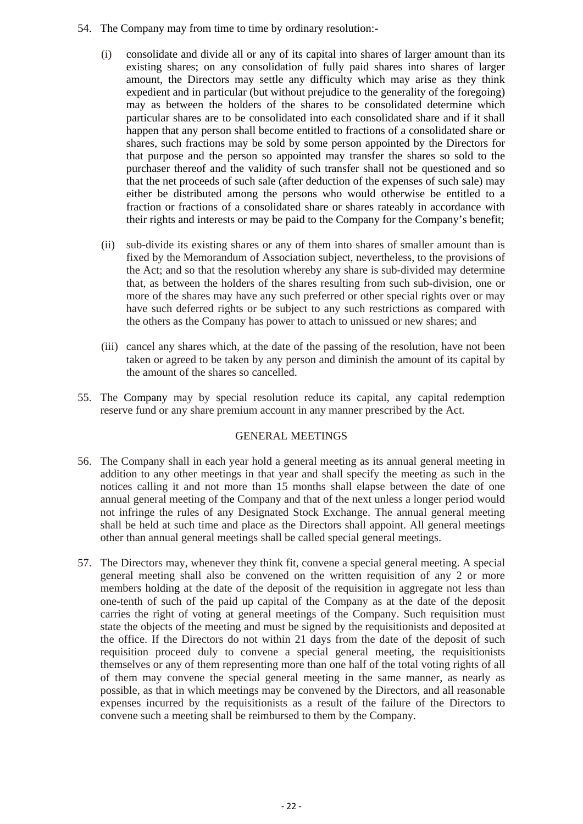- 54. The Company may from time to time by ordinary resolution:-
	- (i) consolidate and divide all or any of its capital into shares of larger amount than its existing shares; on any consolidation of fully paid shares into shares of larger amount, the Directors may settle any difficulty which may arise as they think expedient and in particular (but without prejudice to the generality of the foregoing) may as between the holders of the shares to be consolidated determine which particular shares are to be consolidated into each consolidated share and if it shall happen that any person shall become entitled to fractions of a consolidated share or shares, such fractions may be sold by some person appointed by the Directors for that purpose and the person so appointed may transfer the shares so sold to the purchaser thereof and the validity of such transfer shall not be questioned and so that the net proceeds of such sale (after deduction of the expenses of such sale) may either be distributed among the persons who would otherwise be entitled to a fraction or fractions of a consolidated share or shares rateably in accordance with their rights and interests or may be paid to the Company for the Company's benefit;
	- (ii) sub-divide its existing shares or any of them into shares of smaller amount than is fixed by the Memorandum of Association subject, nevertheless, to the provisions of the Act; and so that the resolution whereby any share is sub-divided may determine that, as between the holders of the shares resulting from such sub-division, one or more of the shares may have any such preferred or other special rights over or may have such deferred rights or be subject to any such restrictions as compared with the others as the Company has power to attach to unissued or new shares; and
	- (iii) cancel any shares which, at the date of the passing of the resolution, have not been taken or agreed to be taken by any person and diminish the amount of its capital by the amount of the shares so cancelled.
- 55. The Company may by special resolution reduce its capital, any capital redemption reserve fund or any share premium account in any manner prescribed by the Act.

#### GENERAL MEETINGS

- 56. The Company shall in each year hold a general meeting as its annual general meeting in addition to any other meetings in that year and shall specify the meeting as such in the notices calling it and not more than 15 months shall elapse between the date of one annual general meeting of the Company and that of the next unless a longer period would not infringe the rules of any Designated Stock Exchange. The annual general meeting shall be held at such time and place as the Directors shall appoint. All general meetings other than annual general meetings shall be called special general meetings.
- 57. The Directors may, whenever they think fit, convene a special general meeting. A special general meeting shall also be convened on the written requisition of any 2 or more members holding at the date of the deposit of the requisition in aggregate not less than one-tenth of such of the paid up capital of the Company as at the date of the deposit carries the right of voting at general meetings of the Company. Such requisition must state the objects of the meeting and must be signed by the requisitionists and deposited at the office. If the Directors do not within 21 days from the date of the deposit of such requisition proceed duly to convene a special general meeting, the requisitionists themselves or any of them representing more than one half of the total voting rights of all of them may convene the special general meeting in the same manner, as nearly as possible, as that in which meetings may be convened by the Directors, and all reasonable expenses incurred by the requisitionists as a result of the failure of the Directors to convene such a meeting shall be reimbursed to them by the Company.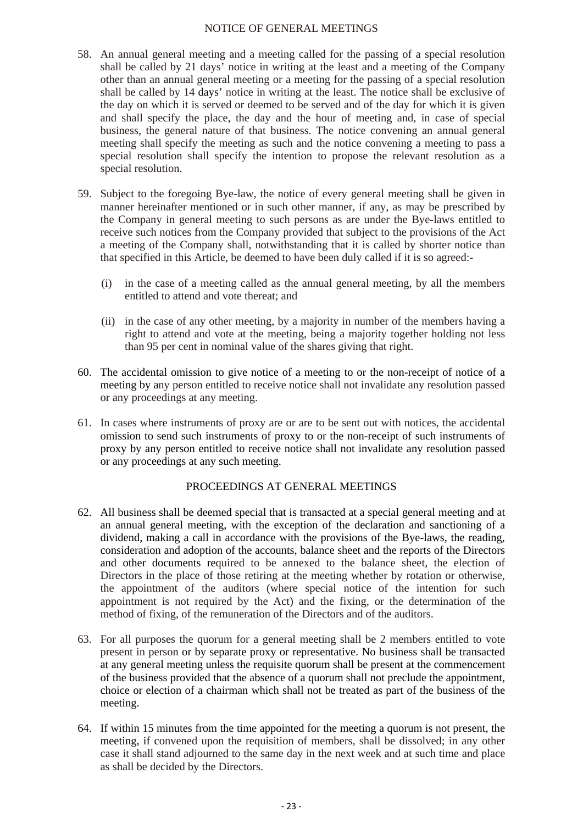#### NOTICE OF GENERAL MEETINGS

- 58. An annual general meeting and a meeting called for the passing of a special resolution shall be called by 21 days' notice in writing at the least and a meeting of the Company other than an annual general meeting or a meeting for the passing of a special resolution shall be called by 14 days' notice in writing at the least. The notice shall be exclusive of the day on which it is served or deemed to be served and of the day for which it is given and shall specify the place, the day and the hour of meeting and, in case of special business, the general nature of that business. The notice convening an annual general meeting shall specify the meeting as such and the notice convening a meeting to pass a special resolution shall specify the intention to propose the relevant resolution as a special resolution.
- 59. Subject to the foregoing Bye-law, the notice of every general meeting shall be given in manner hereinafter mentioned or in such other manner, if any, as may be prescribed by the Company in general meeting to such persons as are under the Bye-laws entitled to receive such notices from the Company provided that subject to the provisions of the Act a meeting of the Company shall, notwithstanding that it is called by shorter notice than that specified in this Article, be deemed to have been duly called if it is so agreed:-
	- (i) in the case of a meeting called as the annual general meeting, by all the members entitled to attend and vote thereat; and
	- (ii) in the case of any other meeting, by a majority in number of the members having a right to attend and vote at the meeting, being a majority together holding not less than 95 per cent in nominal value of the shares giving that right.
- 60. The accidental omission to give notice of a meeting to or the non-receipt of notice of a meeting by any person entitled to receive notice shall not invalidate any resolution passed or any proceedings at any meeting.
- 61. In cases where instruments of proxy are or are to be sent out with notices, the accidental omission to send such instruments of proxy to or the non-receipt of such instruments of proxy by any person entitled to receive notice shall not invalidate any resolution passed or any proceedings at any such meeting.

#### PROCEEDINGS AT GENERAL MEETINGS

- 62. All business shall be deemed special that is transacted at a special general meeting and at an annual general meeting, with the exception of the declaration and sanctioning of a dividend, making a call in accordance with the provisions of the Bye-laws, the reading, consideration and adoption of the accounts, balance sheet and the reports of the Directors and other documents required to be annexed to the balance sheet, the election of Directors in the place of those retiring at the meeting whether by rotation or otherwise, the appointment of the auditors (where special notice of the intention for such appointment is not required by the Act) and the fixing, or the determination of the method of fixing, of the remuneration of the Directors and of the auditors.
- 63. For all purposes the quorum for a general meeting shall be 2 members entitled to vote present in person or by separate proxy or representative. No business shall be transacted at any general meeting unless the requisite quorum shall be present at the commencement of the business provided that the absence of a quorum shall not preclude the appointment, choice or election of a chairman which shall not be treated as part of the business of the meeting.
- 64. If within 15 minutes from the time appointed for the meeting a quorum is not present, the meeting, if convened upon the requisition of members, shall be dissolved; in any other case it shall stand adjourned to the same day in the next week and at such time and place as shall be decided by the Directors.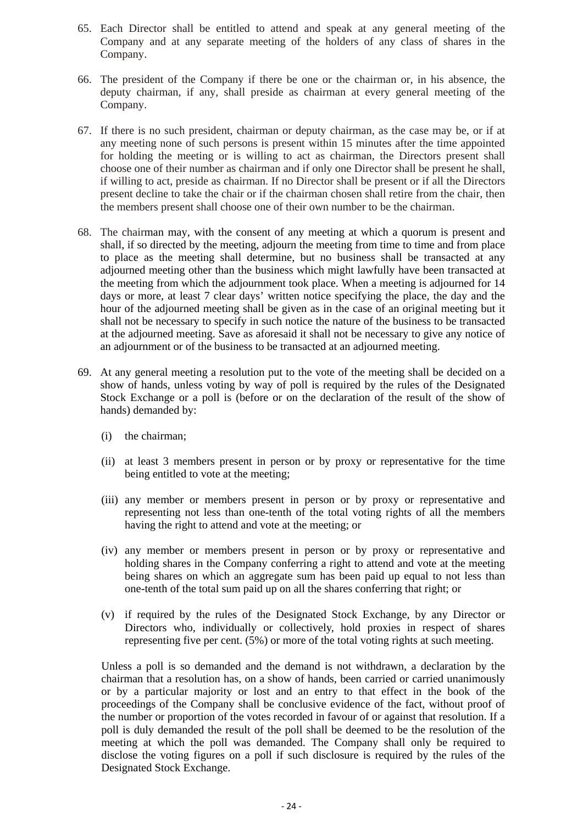- 65. Each Director shall be entitled to attend and speak at any general meeting of the Company and at any separate meeting of the holders of any class of shares in the Company.
- 66. The president of the Company if there be one or the chairman or, in his absence, the deputy chairman, if any, shall preside as chairman at every general meeting of the Company.
- 67. If there is no such president, chairman or deputy chairman, as the case may be, or if at any meeting none of such persons is present within 15 minutes after the time appointed for holding the meeting or is willing to act as chairman, the Directors present shall choose one of their number as chairman and if only one Director shall be present he shall, if willing to act, preside as chairman. If no Director shall be present or if all the Directors present decline to take the chair or if the chairman chosen shall retire from the chair, then the members present shall choose one of their own number to be the chairman.
- 68. The chairman may, with the consent of any meeting at which a quorum is present and shall, if so directed by the meeting, adjourn the meeting from time to time and from place to place as the meeting shall determine, but no business shall be transacted at any adjourned meeting other than the business which might lawfully have been transacted at the meeting from which the adjournment took place. When a meeting is adjourned for 14 days or more, at least 7 clear days' written notice specifying the place, the day and the hour of the adjourned meeting shall be given as in the case of an original meeting but it shall not be necessary to specify in such notice the nature of the business to be transacted at the adjourned meeting. Save as aforesaid it shall not be necessary to give any notice of an adjournment or of the business to be transacted at an adjourned meeting.
- 69. At any general meeting a resolution put to the vote of the meeting shall be decided on a show of hands, unless voting by way of poll is required by the rules of the Designated Stock Exchange or a poll is (before or on the declaration of the result of the show of hands) demanded by:
	- (i) the chairman;
	- (ii) at least 3 members present in person or by proxy or representative for the time being entitled to vote at the meeting;
	- (iii) any member or members present in person or by proxy or representative and representing not less than one-tenth of the total voting rights of all the members having the right to attend and vote at the meeting; or
	- (iv) any member or members present in person or by proxy or representative and holding shares in the Company conferring a right to attend and vote at the meeting being shares on which an aggregate sum has been paid up equal to not less than one-tenth of the total sum paid up on all the shares conferring that right; or
	- (v) if required by the rules of the Designated Stock Exchange, by any Director or Directors who, individually or collectively, hold proxies in respect of shares representing five per cent. (5%) or more of the total voting rights at such meeting.

Unless a poll is so demanded and the demand is not withdrawn, a declaration by the chairman that a resolution has, on a show of hands, been carried or carried unanimously or by a particular majority or lost and an entry to that effect in the book of the proceedings of the Company shall be conclusive evidence of the fact, without proof of the number or proportion of the votes recorded in favour of or against that resolution. If a poll is duly demanded the result of the poll shall be deemed to be the resolution of the meeting at which the poll was demanded. The Company shall only be required to disclose the voting figures on a poll if such disclosure is required by the rules of the Designated Stock Exchange.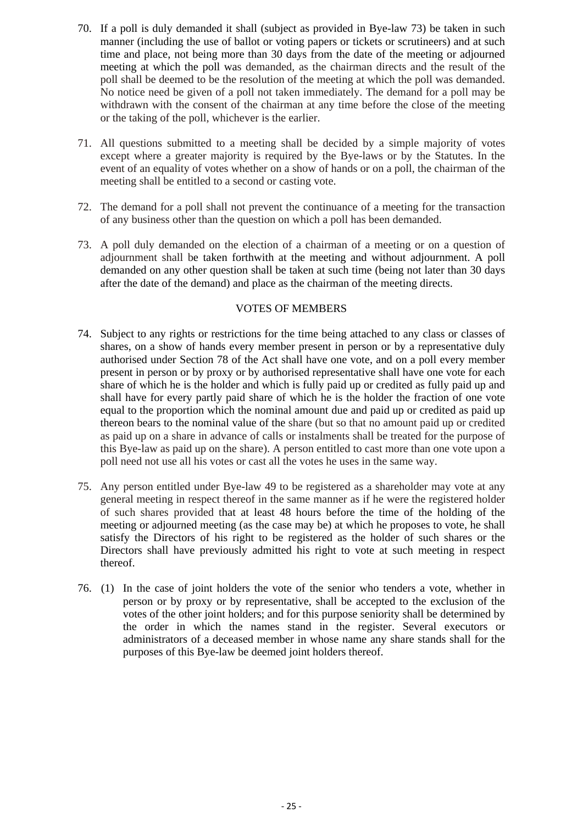- 70. If a poll is duly demanded it shall (subject as provided in Bye-law 73) be taken in such manner (including the use of ballot or voting papers or tickets or scrutineers) and at such time and place, not being more than 30 days from the date of the meeting or adjourned meeting at which the poll was demanded, as the chairman directs and the result of the poll shall be deemed to be the resolution of the meeting at which the poll was demanded. No notice need be given of a poll not taken immediately. The demand for a poll may be withdrawn with the consent of the chairman at any time before the close of the meeting or the taking of the poll, whichever is the earlier.
- 71. All questions submitted to a meeting shall be decided by a simple majority of votes except where a greater majority is required by the Bye-laws or by the Statutes. In the event of an equality of votes whether on a show of hands or on a poll, the chairman of the meeting shall be entitled to a second or casting vote.
- 72. The demand for a poll shall not prevent the continuance of a meeting for the transaction of any business other than the question on which a poll has been demanded.
- 73. A poll duly demanded on the election of a chairman of a meeting or on a question of adjournment shall be taken forthwith at the meeting and without adjournment. A poll demanded on any other question shall be taken at such time (being not later than 30 days after the date of the demand) and place as the chairman of the meeting directs.

#### VOTES OF MEMBERS

- 74. Subject to any rights or restrictions for the time being attached to any class or classes of shares, on a show of hands every member present in person or by a representative duly authorised under Section 78 of the Act shall have one vote, and on a poll every member present in person or by proxy or by authorised representative shall have one vote for each share of which he is the holder and which is fully paid up or credited as fully paid up and shall have for every partly paid share of which he is the holder the fraction of one vote equal to the proportion which the nominal amount due and paid up or credited as paid up thereon bears to the nominal value of the share (but so that no amount paid up or credited as paid up on a share in advance of calls or instalments shall be treated for the purpose of this Bye-law as paid up on the share). A person entitled to cast more than one vote upon a poll need not use all his votes or cast all the votes he uses in the same way.
- 75. Any person entitled under Bye-law 49 to be registered as a shareholder may vote at any general meeting in respect thereof in the same manner as if he were the registered holder of such shares provided that at least 48 hours before the time of the holding of the meeting or adjourned meeting (as the case may be) at which he proposes to vote, he shall satisfy the Directors of his right to be registered as the holder of such shares or the Directors shall have previously admitted his right to vote at such meeting in respect thereof.
- 76. (1) In the case of joint holders the vote of the senior who tenders a vote, whether in person or by proxy or by representative, shall be accepted to the exclusion of the votes of the other joint holders; and for this purpose seniority shall be determined by the order in which the names stand in the register. Several executors or administrators of a deceased member in whose name any share stands shall for the purposes of this Bye-law be deemed joint holders thereof.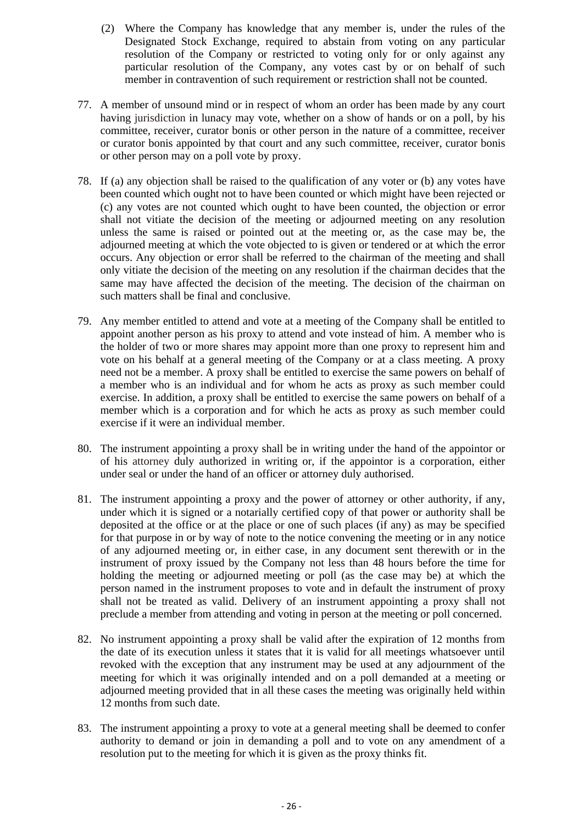- (2) Where the Company has knowledge that any member is, under the rules of the Designated Stock Exchange, required to abstain from voting on any particular resolution of the Company or restricted to voting only for or only against any particular resolution of the Company, any votes cast by or on behalf of such member in contravention of such requirement or restriction shall not be counted.
- 77. A member of unsound mind or in respect of whom an order has been made by any court having jurisdiction in lunacy may vote, whether on a show of hands or on a poll, by his committee, receiver, curator bonis or other person in the nature of a committee, receiver or curator bonis appointed by that court and any such committee, receiver, curator bonis or other person may on a poll vote by proxy.
- 78. If (a) any objection shall be raised to the qualification of any voter or (b) any votes have been counted which ought not to have been counted or which might have been rejected or (c) any votes are not counted which ought to have been counted, the objection or error shall not vitiate the decision of the meeting or adjourned meeting on any resolution unless the same is raised or pointed out at the meeting or, as the case may be, the adjourned meeting at which the vote objected to is given or tendered or at which the error occurs. Any objection or error shall be referred to the chairman of the meeting and shall only vitiate the decision of the meeting on any resolution if the chairman decides that the same may have affected the decision of the meeting. The decision of the chairman on such matters shall be final and conclusive.
- 79. Any member entitled to attend and vote at a meeting of the Company shall be entitled to appoint another person as his proxy to attend and vote instead of him. A member who is the holder of two or more shares may appoint more than one proxy to represent him and vote on his behalf at a general meeting of the Company or at a class meeting. A proxy need not be a member. A proxy shall be entitled to exercise the same powers on behalf of a member who is an individual and for whom he acts as proxy as such member could exercise. In addition, a proxy shall be entitled to exercise the same powers on behalf of a member which is a corporation and for which he acts as proxy as such member could exercise if it were an individual member.
- 80. The instrument appointing a proxy shall be in writing under the hand of the appointor or of his attorney duly authorized in writing or, if the appointor is a corporation, either under seal or under the hand of an officer or attorney duly authorised.
- 81. The instrument appointing a proxy and the power of attorney or other authority, if any, under which it is signed or a notarially certified copy of that power or authority shall be deposited at the office or at the place or one of such places (if any) as may be specified for that purpose in or by way of note to the notice convening the meeting or in any notice of any adjourned meeting or, in either case, in any document sent therewith or in the instrument of proxy issued by the Company not less than 48 hours before the time for holding the meeting or adjourned meeting or poll (as the case may be) at which the person named in the instrument proposes to vote and in default the instrument of proxy shall not be treated as valid. Delivery of an instrument appointing a proxy shall not preclude a member from attending and voting in person at the meeting or poll concerned.
- 82. No instrument appointing a proxy shall be valid after the expiration of 12 months from the date of its execution unless it states that it is valid for all meetings whatsoever until revoked with the exception that any instrument may be used at any adjournment of the meeting for which it was originally intended and on a poll demanded at a meeting or adjourned meeting provided that in all these cases the meeting was originally held within 12 months from such date.
- 83. The instrument appointing a proxy to vote at a general meeting shall be deemed to confer authority to demand or join in demanding a poll and to vote on any amendment of a resolution put to the meeting for which it is given as the proxy thinks fit.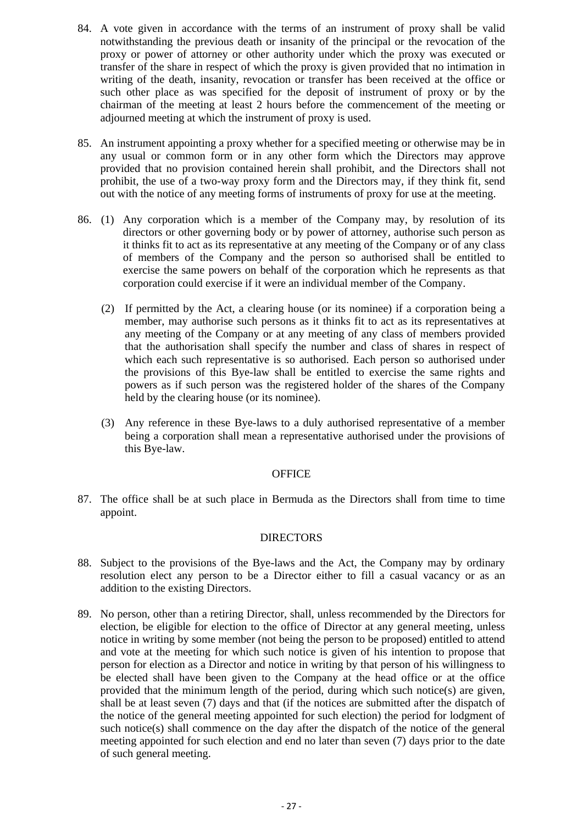- 84. A vote given in accordance with the terms of an instrument of proxy shall be valid notwithstanding the previous death or insanity of the principal or the revocation of the proxy or power of attorney or other authority under which the proxy was executed or transfer of the share in respect of which the proxy is given provided that no intimation in writing of the death, insanity, revocation or transfer has been received at the office or such other place as was specified for the deposit of instrument of proxy or by the chairman of the meeting at least 2 hours before the commencement of the meeting or adjourned meeting at which the instrument of proxy is used.
- 85. An instrument appointing a proxy whether for a specified meeting or otherwise may be in any usual or common form or in any other form which the Directors may approve provided that no provision contained herein shall prohibit, and the Directors shall not prohibit, the use of a two-way proxy form and the Directors may, if they think fit, send out with the notice of any meeting forms of instruments of proxy for use at the meeting.
- 86. (1) Any corporation which is a member of the Company may, by resolution of its directors or other governing body or by power of attorney, authorise such person as it thinks fit to act as its representative at any meeting of the Company or of any class of members of the Company and the person so authorised shall be entitled to exercise the same powers on behalf of the corporation which he represents as that corporation could exercise if it were an individual member of the Company.
	- (2) If permitted by the Act, a clearing house (or its nominee) if a corporation being a member, may authorise such persons as it thinks fit to act as its representatives at any meeting of the Company or at any meeting of any class of members provided that the authorisation shall specify the number and class of shares in respect of which each such representative is so authorised. Each person so authorised under the provisions of this Bye-law shall be entitled to exercise the same rights and powers as if such person was the registered holder of the shares of the Company held by the clearing house (or its nominee).
	- (3) Any reference in these Bye-laws to a duly authorised representative of a member being a corporation shall mean a representative authorised under the provisions of this Bye-law.

#### **OFFICE**

87. The office shall be at such place in Bermuda as the Directors shall from time to time appoint.

#### DIRECTORS

- 88. Subject to the provisions of the Bye-laws and the Act, the Company may by ordinary resolution elect any person to be a Director either to fill a casual vacancy or as an addition to the existing Directors.
- 89. No person, other than a retiring Director, shall, unless recommended by the Directors for election, be eligible for election to the office of Director at any general meeting, unless notice in writing by some member (not being the person to be proposed) entitled to attend and vote at the meeting for which such notice is given of his intention to propose that person for election as a Director and notice in writing by that person of his willingness to be elected shall have been given to the Company at the head office or at the office provided that the minimum length of the period, during which such notice(s) are given, shall be at least seven (7) days and that (if the notices are submitted after the dispatch of the notice of the general meeting appointed for such election) the period for lodgment of such notice(s) shall commence on the day after the dispatch of the notice of the general meeting appointed for such election and end no later than seven (7) days prior to the date of such general meeting.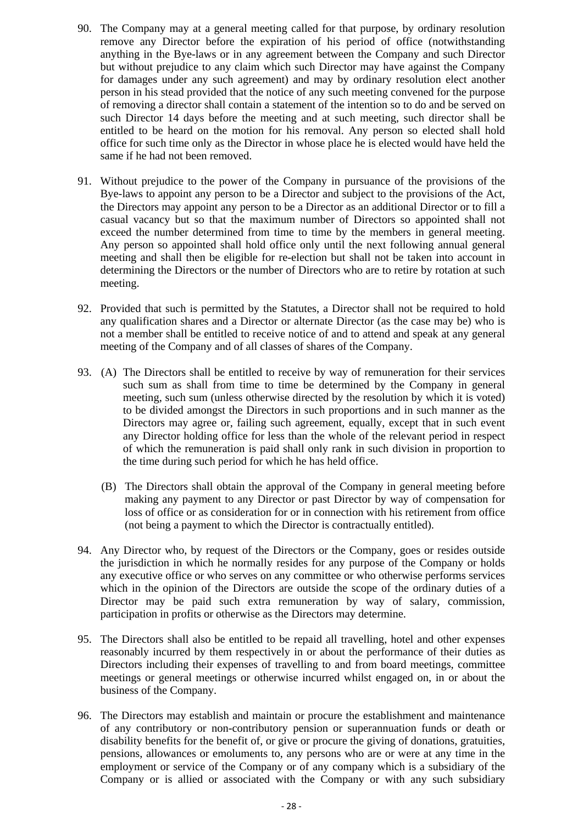- 90. The Company may at a general meeting called for that purpose, by ordinary resolution remove any Director before the expiration of his period of office (notwithstanding anything in the Bye-laws or in any agreement between the Company and such Director but without prejudice to any claim which such Director may have against the Company for damages under any such agreement) and may by ordinary resolution elect another person in his stead provided that the notice of any such meeting convened for the purpose of removing a director shall contain a statement of the intention so to do and be served on such Director 14 days before the meeting and at such meeting, such director shall be entitled to be heard on the motion for his removal. Any person so elected shall hold office for such time only as the Director in whose place he is elected would have held the same if he had not been removed.
- 91. Without prejudice to the power of the Company in pursuance of the provisions of the Bye-laws to appoint any person to be a Director and subject to the provisions of the Act, the Directors may appoint any person to be a Director as an additional Director or to fill a casual vacancy but so that the maximum number of Directors so appointed shall not exceed the number determined from time to time by the members in general meeting. Any person so appointed shall hold office only until the next following annual general meeting and shall then be eligible for re-election but shall not be taken into account in determining the Directors or the number of Directors who are to retire by rotation at such meeting.
- 92. Provided that such is permitted by the Statutes, a Director shall not be required to hold any qualification shares and a Director or alternate Director (as the case may be) who is not a member shall be entitled to receive notice of and to attend and speak at any general meeting of the Company and of all classes of shares of the Company.
- 93. (A) The Directors shall be entitled to receive by way of remuneration for their services such sum as shall from time to time be determined by the Company in general meeting, such sum (unless otherwise directed by the resolution by which it is voted) to be divided amongst the Directors in such proportions and in such manner as the Directors may agree or, failing such agreement, equally, except that in such event any Director holding office for less than the whole of the relevant period in respect of which the remuneration is paid shall only rank in such division in proportion to the time during such period for which he has held office.
	- (B) The Directors shall obtain the approval of the Company in general meeting before making any payment to any Director or past Director by way of compensation for loss of office or as consideration for or in connection with his retirement from office (not being a payment to which the Director is contractually entitled).
- 94. Any Director who, by request of the Directors or the Company, goes or resides outside the jurisdiction in which he normally resides for any purpose of the Company or holds any executive office or who serves on any committee or who otherwise performs services which in the opinion of the Directors are outside the scope of the ordinary duties of a Director may be paid such extra remuneration by way of salary, commission, participation in profits or otherwise as the Directors may determine.
- 95. The Directors shall also be entitled to be repaid all travelling, hotel and other expenses reasonably incurred by them respectively in or about the performance of their duties as Directors including their expenses of travelling to and from board meetings, committee meetings or general meetings or otherwise incurred whilst engaged on, in or about the business of the Company.
- 96. The Directors may establish and maintain or procure the establishment and maintenance of any contributory or non-contributory pension or superannuation funds or death or disability benefits for the benefit of, or give or procure the giving of donations, gratuities, pensions, allowances or emoluments to, any persons who are or were at any time in the employment or service of the Company or of any company which is a subsidiary of the Company or is allied or associated with the Company or with any such subsidiary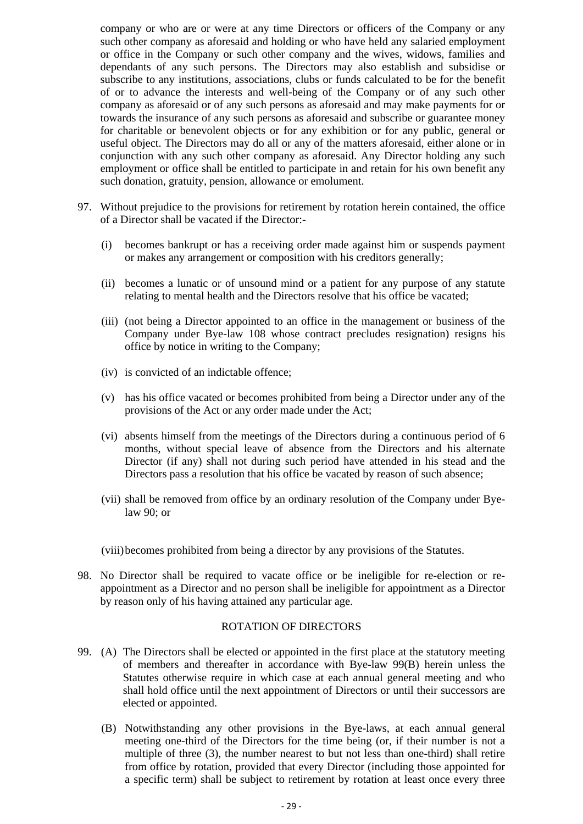company or who are or were at any time Directors or officers of the Company or any such other company as aforesaid and holding or who have held any salaried employment or office in the Company or such other company and the wives, widows, families and dependants of any such persons. The Directors may also establish and subsidise or subscribe to any institutions, associations, clubs or funds calculated to be for the benefit of or to advance the interests and well-being of the Company or of any such other company as aforesaid or of any such persons as aforesaid and may make payments for or towards the insurance of any such persons as aforesaid and subscribe or guarantee money for charitable or benevolent objects or for any exhibition or for any public, general or useful object. The Directors may do all or any of the matters aforesaid, either alone or in conjunction with any such other company as aforesaid. Any Director holding any such employment or office shall be entitled to participate in and retain for his own benefit any such donation, gratuity, pension, allowance or emolument.

- 97. Without prejudice to the provisions for retirement by rotation herein contained, the office of a Director shall be vacated if the Director:-
	- (i) becomes bankrupt or has a receiving order made against him or suspends payment or makes any arrangement or composition with his creditors generally;
	- (ii) becomes a lunatic or of unsound mind or a patient for any purpose of any statute relating to mental health and the Directors resolve that his office be vacated;
	- (iii) (not being a Director appointed to an office in the management or business of the Company under Bye-law 108 whose contract precludes resignation) resigns his office by notice in writing to the Company;
	- (iv) is convicted of an indictable offence;
	- (v) has his office vacated or becomes prohibited from being a Director under any of the provisions of the Act or any order made under the Act;
	- (vi) absents himself from the meetings of the Directors during a continuous period of 6 months, without special leave of absence from the Directors and his alternate Director (if any) shall not during such period have attended in his stead and the Directors pass a resolution that his office be vacated by reason of such absence;
	- (vii) shall be removed from office by an ordinary resolution of the Company under Byelaw 90; or

(viii) becomes prohibited from being a director by any provisions of the Statutes.

98. No Director shall be required to vacate office or be ineligible for re-election or reappointment as a Director and no person shall be ineligible for appointment as a Director by reason only of his having attained any particular age.

#### ROTATION OF DIRECTORS

- 99. (A) The Directors shall be elected or appointed in the first place at the statutory meeting of members and thereafter in accordance with Bye-law 99(B) herein unless the Statutes otherwise require in which case at each annual general meeting and who shall hold office until the next appointment of Directors or until their successors are elected or appointed.
	- (B) Notwithstanding any other provisions in the Bye-laws, at each annual general meeting one-third of the Directors for the time being (or, if their number is not a multiple of three (3), the number nearest to but not less than one-third) shall retire from office by rotation, provided that every Director (including those appointed for a specific term) shall be subject to retirement by rotation at least once every three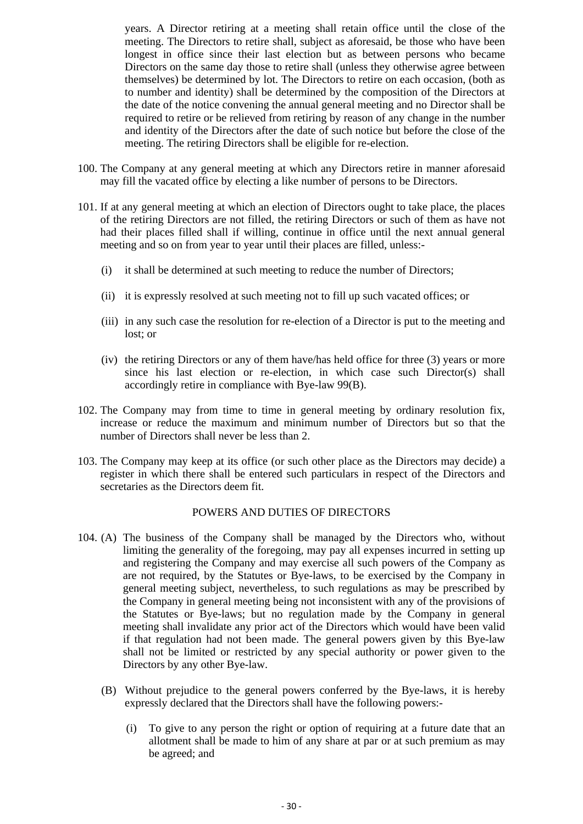years. A Director retiring at a meeting shall retain office until the close of the meeting. The Directors to retire shall, subject as aforesaid, be those who have been longest in office since their last election but as between persons who became Directors on the same day those to retire shall (unless they otherwise agree between themselves) be determined by lot. The Directors to retire on each occasion, (both as to number and identity) shall be determined by the composition of the Directors at the date of the notice convening the annual general meeting and no Director shall be required to retire or be relieved from retiring by reason of any change in the number and identity of the Directors after the date of such notice but before the close of the meeting. The retiring Directors shall be eligible for re-election.

- 100. The Company at any general meeting at which any Directors retire in manner aforesaid may fill the vacated office by electing a like number of persons to be Directors.
- 101. If at any general meeting at which an election of Directors ought to take place, the places of the retiring Directors are not filled, the retiring Directors or such of them as have not had their places filled shall if willing, continue in office until the next annual general meeting and so on from year to year until their places are filled, unless:-
	- (i) it shall be determined at such meeting to reduce the number of Directors;
	- (ii) it is expressly resolved at such meeting not to fill up such vacated offices; or
	- (iii) in any such case the resolution for re-election of a Director is put to the meeting and lost; or
	- (iv) the retiring Directors or any of them have/has held office for three (3) years or more since his last election or re-election, in which case such Director(s) shall accordingly retire in compliance with Bye-law 99(B).
- 102. The Company may from time to time in general meeting by ordinary resolution fix, increase or reduce the maximum and minimum number of Directors but so that the number of Directors shall never be less than 2.
- 103. The Company may keep at its office (or such other place as the Directors may decide) a register in which there shall be entered such particulars in respect of the Directors and secretaries as the Directors deem fit.

#### POWERS AND DUTIES OF DIRECTORS

- 104. (A) The business of the Company shall be managed by the Directors who, without limiting the generality of the foregoing, may pay all expenses incurred in setting up and registering the Company and may exercise all such powers of the Company as are not required, by the Statutes or Bye-laws, to be exercised by the Company in general meeting subject, nevertheless, to such regulations as may be prescribed by the Company in general meeting being not inconsistent with any of the provisions of the Statutes or Bye-laws; but no regulation made by the Company in general meeting shall invalidate any prior act of the Directors which would have been valid if that regulation had not been made. The general powers given by this Bye-law shall not be limited or restricted by any special authority or power given to the Directors by any other Bye-law.
	- (B) Without prejudice to the general powers conferred by the Bye-laws, it is hereby expressly declared that the Directors shall have the following powers:-
		- (i) To give to any person the right or option of requiring at a future date that an allotment shall be made to him of any share at par or at such premium as may be agreed; and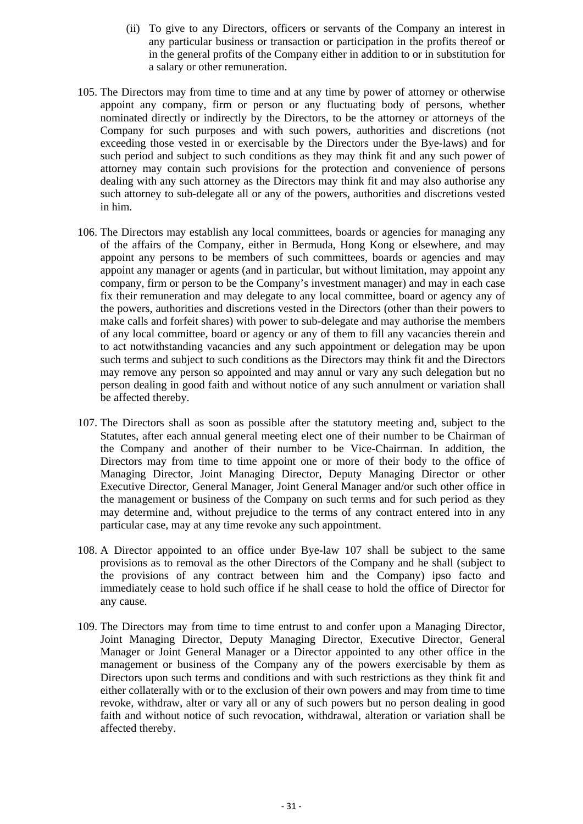- (ii) To give to any Directors, officers or servants of the Company an interest in any particular business or transaction or participation in the profits thereof or in the general profits of the Company either in addition to or in substitution for a salary or other remuneration.
- 105. The Directors may from time to time and at any time by power of attorney or otherwise appoint any company, firm or person or any fluctuating body of persons, whether nominated directly or indirectly by the Directors, to be the attorney or attorneys of the Company for such purposes and with such powers, authorities and discretions (not exceeding those vested in or exercisable by the Directors under the Bye-laws) and for such period and subject to such conditions as they may think fit and any such power of attorney may contain such provisions for the protection and convenience of persons dealing with any such attorney as the Directors may think fit and may also authorise any such attorney to sub-delegate all or any of the powers, authorities and discretions vested in him.
- 106. The Directors may establish any local committees, boards or agencies for managing any of the affairs of the Company, either in Bermuda, Hong Kong or elsewhere, and may appoint any persons to be members of such committees, boards or agencies and may appoint any manager or agents (and in particular, but without limitation, may appoint any company, firm or person to be the Company's investment manager) and may in each case fix their remuneration and may delegate to any local committee, board or agency any of the powers, authorities and discretions vested in the Directors (other than their powers to make calls and forfeit shares) with power to sub-delegate and may authorise the members of any local committee, board or agency or any of them to fill any vacancies therein and to act notwithstanding vacancies and any such appointment or delegation may be upon such terms and subject to such conditions as the Directors may think fit and the Directors may remove any person so appointed and may annul or vary any such delegation but no person dealing in good faith and without notice of any such annulment or variation shall be affected thereby.
- 107. The Directors shall as soon as possible after the statutory meeting and, subject to the Statutes, after each annual general meeting elect one of their number to be Chairman of the Company and another of their number to be Vice-Chairman. In addition, the Directors may from time to time appoint one or more of their body to the office of Managing Director, Joint Managing Director, Deputy Managing Director or other Executive Director, General Manager, Joint General Manager and/or such other office in the management or business of the Company on such terms and for such period as they may determine and, without prejudice to the terms of any contract entered into in any particular case, may at any time revoke any such appointment.
- 108. A Director appointed to an office under Bye-law 107 shall be subject to the same provisions as to removal as the other Directors of the Company and he shall (subject to the provisions of any contract between him and the Company) ipso facto and immediately cease to hold such office if he shall cease to hold the office of Director for any cause.
- 109. The Directors may from time to time entrust to and confer upon a Managing Director, Joint Managing Director, Deputy Managing Director, Executive Director, General Manager or Joint General Manager or a Director appointed to any other office in the management or business of the Company any of the powers exercisable by them as Directors upon such terms and conditions and with such restrictions as they think fit and either collaterally with or to the exclusion of their own powers and may from time to time revoke, withdraw, alter or vary all or any of such powers but no person dealing in good faith and without notice of such revocation, withdrawal, alteration or variation shall be affected thereby.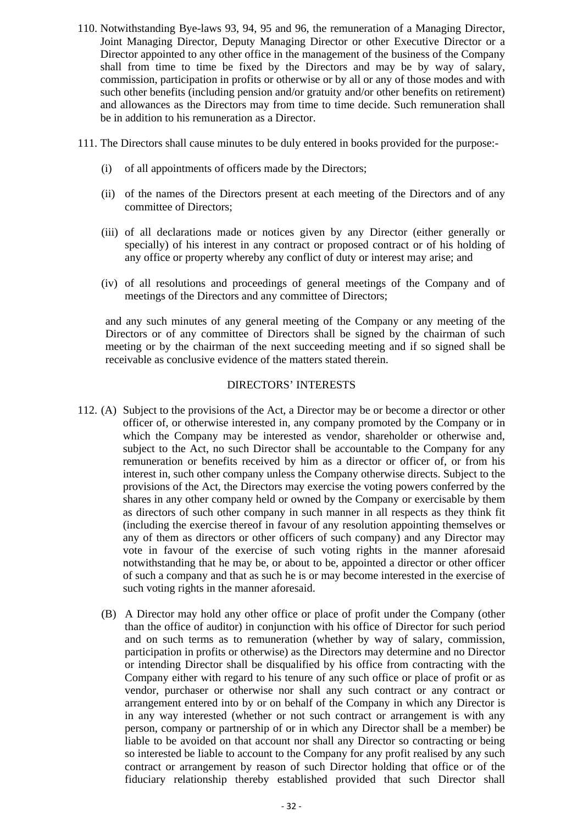- 110. Notwithstanding Bye-laws 93, 94, 95 and 96, the remuneration of a Managing Director, Joint Managing Director, Deputy Managing Director or other Executive Director or a Director appointed to any other office in the management of the business of the Company shall from time to time be fixed by the Directors and may be by way of salary, commission, participation in profits or otherwise or by all or any of those modes and with such other benefits (including pension and/or gratuity and/or other benefits on retirement) and allowances as the Directors may from time to time decide. Such remuneration shall be in addition to his remuneration as a Director.
- 111. The Directors shall cause minutes to be duly entered in books provided for the purpose:-
	- (i) of all appointments of officers made by the Directors;
	- (ii) of the names of the Directors present at each meeting of the Directors and of any committee of Directors;
	- (iii) of all declarations made or notices given by any Director (either generally or specially) of his interest in any contract or proposed contract or of his holding of any office or property whereby any conflict of duty or interest may arise; and
	- (iv) of all resolutions and proceedings of general meetings of the Company and of meetings of the Directors and any committee of Directors;

and any such minutes of any general meeting of the Company or any meeting of the Directors or of any committee of Directors shall be signed by the chairman of such meeting or by the chairman of the next succeeding meeting and if so signed shall be receivable as conclusive evidence of the matters stated therein.

#### DIRECTORS' INTERESTS

- 112. (A) Subject to the provisions of the Act, a Director may be or become a director or other officer of, or otherwise interested in, any company promoted by the Company or in which the Company may be interested as vendor, shareholder or otherwise and, subject to the Act, no such Director shall be accountable to the Company for any remuneration or benefits received by him as a director or officer of, or from his interest in, such other company unless the Company otherwise directs. Subject to the provisions of the Act, the Directors may exercise the voting powers conferred by the shares in any other company held or owned by the Company or exercisable by them as directors of such other company in such manner in all respects as they think fit (including the exercise thereof in favour of any resolution appointing themselves or any of them as directors or other officers of such company) and any Director may vote in favour of the exercise of such voting rights in the manner aforesaid notwithstanding that he may be, or about to be, appointed a director or other officer of such a company and that as such he is or may become interested in the exercise of such voting rights in the manner aforesaid.
	- (B) A Director may hold any other office or place of profit under the Company (other than the office of auditor) in conjunction with his office of Director for such period and on such terms as to remuneration (whether by way of salary, commission, participation in profits or otherwise) as the Directors may determine and no Director or intending Director shall be disqualified by his office from contracting with the Company either with regard to his tenure of any such office or place of profit or as vendor, purchaser or otherwise nor shall any such contract or any contract or arrangement entered into by or on behalf of the Company in which any Director is in any way interested (whether or not such contract or arrangement is with any person, company or partnership of or in which any Director shall be a member) be liable to be avoided on that account nor shall any Director so contracting or being so interested be liable to account to the Company for any profit realised by any such contract or arrangement by reason of such Director holding that office or of the fiduciary relationship thereby established provided that such Director shall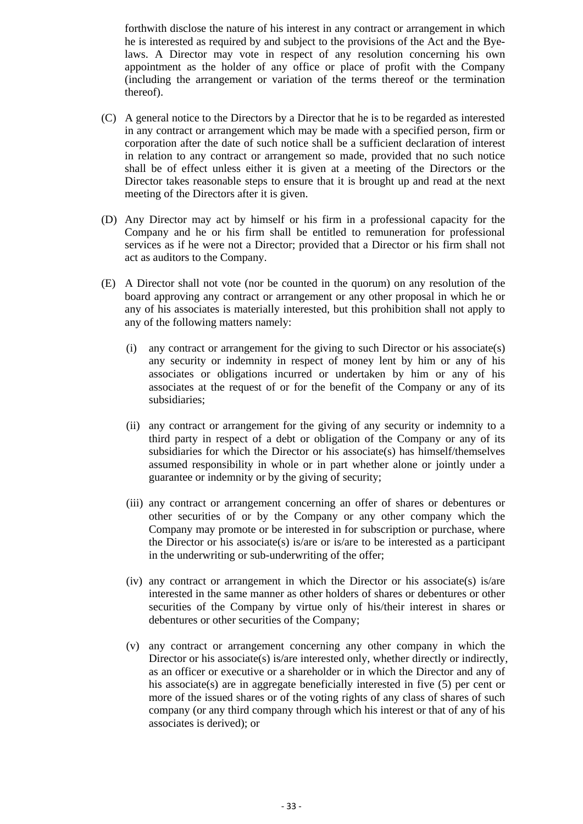forthwith disclose the nature of his interest in any contract or arrangement in which he is interested as required by and subject to the provisions of the Act and the Byelaws. A Director may vote in respect of any resolution concerning his own appointment as the holder of any office or place of profit with the Company (including the arrangement or variation of the terms thereof or the termination thereof).

- (C) A general notice to the Directors by a Director that he is to be regarded as interested in any contract or arrangement which may be made with a specified person, firm or corporation after the date of such notice shall be a sufficient declaration of interest in relation to any contract or arrangement so made, provided that no such notice shall be of effect unless either it is given at a meeting of the Directors or the Director takes reasonable steps to ensure that it is brought up and read at the next meeting of the Directors after it is given.
- (D) Any Director may act by himself or his firm in a professional capacity for the Company and he or his firm shall be entitled to remuneration for professional services as if he were not a Director; provided that a Director or his firm shall not act as auditors to the Company.
- (E) A Director shall not vote (nor be counted in the quorum) on any resolution of the board approving any contract or arrangement or any other proposal in which he or any of his associates is materially interested, but this prohibition shall not apply to any of the following matters namely:
	- (i) any contract or arrangement for the giving to such Director or his associate(s) any security or indemnity in respect of money lent by him or any of his associates or obligations incurred or undertaken by him or any of his associates at the request of or for the benefit of the Company or any of its subsidiaries;
	- (ii) any contract or arrangement for the giving of any security or indemnity to a third party in respect of a debt or obligation of the Company or any of its subsidiaries for which the Director or his associate(s) has himself/themselves assumed responsibility in whole or in part whether alone or jointly under a guarantee or indemnity or by the giving of security;
	- (iii) any contract or arrangement concerning an offer of shares or debentures or other securities of or by the Company or any other company which the Company may promote or be interested in for subscription or purchase, where the Director or his associate(s) is/are or is/are to be interested as a participant in the underwriting or sub-underwriting of the offer;
	- (iv) any contract or arrangement in which the Director or his associate(s) is/are interested in the same manner as other holders of shares or debentures or other securities of the Company by virtue only of his/their interest in shares or debentures or other securities of the Company;
	- (v) any contract or arrangement concerning any other company in which the Director or his associate(s) is/are interested only, whether directly or indirectly, as an officer or executive or a shareholder or in which the Director and any of his associate(s) are in aggregate beneficially interested in five  $(5)$  per cent or more of the issued shares or of the voting rights of any class of shares of such company (or any third company through which his interest or that of any of his associates is derived); or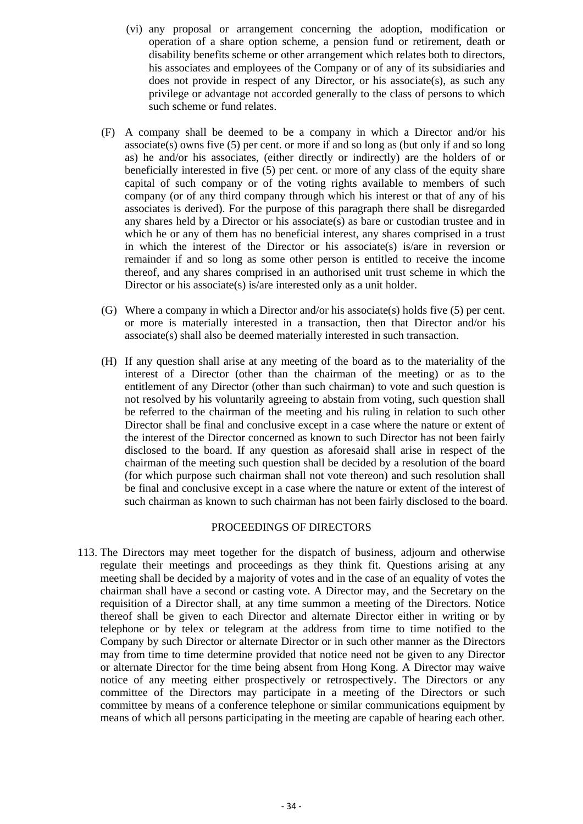- (vi) any proposal or arrangement concerning the adoption, modification or operation of a share option scheme, a pension fund or retirement, death or disability benefits scheme or other arrangement which relates both to directors, his associates and employees of the Company or of any of its subsidiaries and does not provide in respect of any Director, or his associate(s), as such any privilege or advantage not accorded generally to the class of persons to which such scheme or fund relates.
- (F) A company shall be deemed to be a company in which a Director and/or his associate(s) owns five  $(5)$  per cent. or more if and so long as (but only if and so long as) he and/or his associates, (either directly or indirectly) are the holders of or beneficially interested in five (5) per cent. or more of any class of the equity share capital of such company or of the voting rights available to members of such company (or of any third company through which his interest or that of any of his associates is derived). For the purpose of this paragraph there shall be disregarded any shares held by a Director or his associate(s) as bare or custodian trustee and in which he or any of them has no beneficial interest, any shares comprised in a trust in which the interest of the Director or his associate(s) is/are in reversion or remainder if and so long as some other person is entitled to receive the income thereof, and any shares comprised in an authorised unit trust scheme in which the Director or his associate(s) is/are interested only as a unit holder.
- (G) Where a company in which a Director and/or his associate(s) holds five (5) per cent. or more is materially interested in a transaction, then that Director and/or his associate(s) shall also be deemed materially interested in such transaction.
- (H) If any question shall arise at any meeting of the board as to the materiality of the interest of a Director (other than the chairman of the meeting) or as to the entitlement of any Director (other than such chairman) to vote and such question is not resolved by his voluntarily agreeing to abstain from voting, such question shall be referred to the chairman of the meeting and his ruling in relation to such other Director shall be final and conclusive except in a case where the nature or extent of the interest of the Director concerned as known to such Director has not been fairly disclosed to the board. If any question as aforesaid shall arise in respect of the chairman of the meeting such question shall be decided by a resolution of the board (for which purpose such chairman shall not vote thereon) and such resolution shall be final and conclusive except in a case where the nature or extent of the interest of such chairman as known to such chairman has not been fairly disclosed to the board.

#### PROCEEDINGS OF DIRECTORS

113. The Directors may meet together for the dispatch of business, adjourn and otherwise regulate their meetings and proceedings as they think fit. Questions arising at any meeting shall be decided by a majority of votes and in the case of an equality of votes the chairman shall have a second or casting vote. A Director may, and the Secretary on the requisition of a Director shall, at any time summon a meeting of the Directors. Notice thereof shall be given to each Director and alternate Director either in writing or by telephone or by telex or telegram at the address from time to time notified to the Company by such Director or alternate Director or in such other manner as the Directors may from time to time determine provided that notice need not be given to any Director or alternate Director for the time being absent from Hong Kong. A Director may waive notice of any meeting either prospectively or retrospectively. The Directors or any committee of the Directors may participate in a meeting of the Directors or such committee by means of a conference telephone or similar communications equipment by means of which all persons participating in the meeting are capable of hearing each other.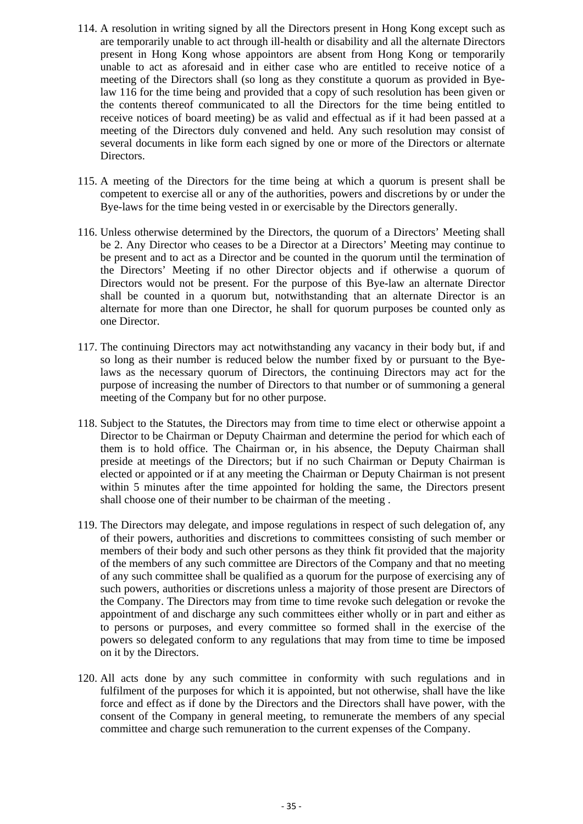- 114. A resolution in writing signed by all the Directors present in Hong Kong except such as are temporarily unable to act through ill-health or disability and all the alternate Directors present in Hong Kong whose appointors are absent from Hong Kong or temporarily unable to act as aforesaid and in either case who are entitled to receive notice of a meeting of the Directors shall (so long as they constitute a quorum as provided in Byelaw 116 for the time being and provided that a copy of such resolution has been given or the contents thereof communicated to all the Directors for the time being entitled to receive notices of board meeting) be as valid and effectual as if it had been passed at a meeting of the Directors duly convened and held. Any such resolution may consist of several documents in like form each signed by one or more of the Directors or alternate Directors.
- 115. A meeting of the Directors for the time being at which a quorum is present shall be competent to exercise all or any of the authorities, powers and discretions by or under the Bye-laws for the time being vested in or exercisable by the Directors generally.
- 116. Unless otherwise determined by the Directors, the quorum of a Directors' Meeting shall be 2. Any Director who ceases to be a Director at a Directors' Meeting may continue to be present and to act as a Director and be counted in the quorum until the termination of the Directors' Meeting if no other Director objects and if otherwise a quorum of Directors would not be present. For the purpose of this Bye-law an alternate Director shall be counted in a quorum but, notwithstanding that an alternate Director is an alternate for more than one Director, he shall for quorum purposes be counted only as one Director.
- 117. The continuing Directors may act notwithstanding any vacancy in their body but, if and so long as their number is reduced below the number fixed by or pursuant to the Byelaws as the necessary quorum of Directors, the continuing Directors may act for the purpose of increasing the number of Directors to that number or of summoning a general meeting of the Company but for no other purpose.
- 118. Subject to the Statutes, the Directors may from time to time elect or otherwise appoint a Director to be Chairman or Deputy Chairman and determine the period for which each of them is to hold office. The Chairman or, in his absence, the Deputy Chairman shall preside at meetings of the Directors; but if no such Chairman or Deputy Chairman is elected or appointed or if at any meeting the Chairman or Deputy Chairman is not present within 5 minutes after the time appointed for holding the same, the Directors present shall choose one of their number to be chairman of the meeting .
- 119. The Directors may delegate, and impose regulations in respect of such delegation of, any of their powers, authorities and discretions to committees consisting of such member or members of their body and such other persons as they think fit provided that the majority of the members of any such committee are Directors of the Company and that no meeting of any such committee shall be qualified as a quorum for the purpose of exercising any of such powers, authorities or discretions unless a majority of those present are Directors of the Company. The Directors may from time to time revoke such delegation or revoke the appointment of and discharge any such committees either wholly or in part and either as to persons or purposes, and every committee so formed shall in the exercise of the powers so delegated conform to any regulations that may from time to time be imposed on it by the Directors.
- 120. All acts done by any such committee in conformity with such regulations and in fulfilment of the purposes for which it is appointed, but not otherwise, shall have the like force and effect as if done by the Directors and the Directors shall have power, with the consent of the Company in general meeting, to remunerate the members of any special committee and charge such remuneration to the current expenses of the Company.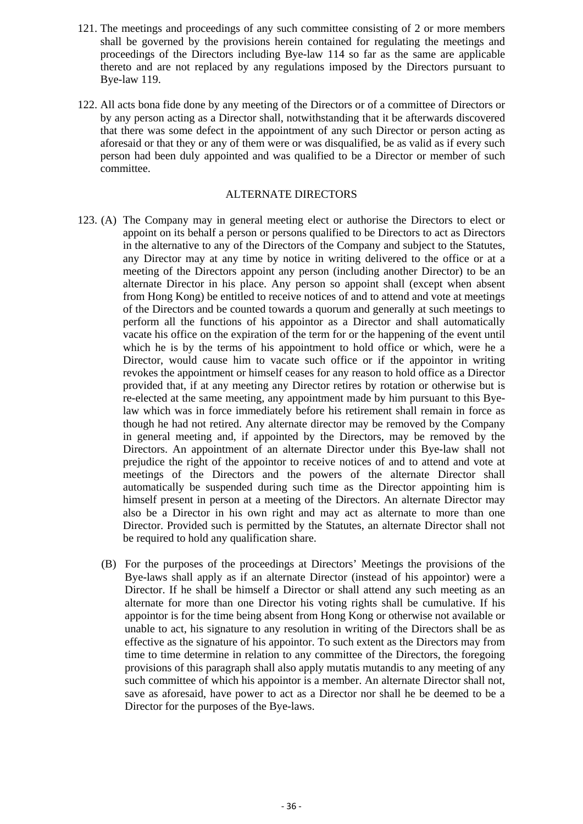- 121. The meetings and proceedings of any such committee consisting of 2 or more members shall be governed by the provisions herein contained for regulating the meetings and proceedings of the Directors including Bye-law 114 so far as the same are applicable thereto and are not replaced by any regulations imposed by the Directors pursuant to Bye-law 119.
- 122. All acts bona fide done by any meeting of the Directors or of a committee of Directors or by any person acting as a Director shall, notwithstanding that it be afterwards discovered that there was some defect in the appointment of any such Director or person acting as aforesaid or that they or any of them were or was disqualified, be as valid as if every such person had been duly appointed and was qualified to be a Director or member of such committee.

#### ALTERNATE DIRECTORS

- 123. (A) The Company may in general meeting elect or authorise the Directors to elect or appoint on its behalf a person or persons qualified to be Directors to act as Directors in the alternative to any of the Directors of the Company and subject to the Statutes, any Director may at any time by notice in writing delivered to the office or at a meeting of the Directors appoint any person (including another Director) to be an alternate Director in his place. Any person so appoint shall (except when absent from Hong Kong) be entitled to receive notices of and to attend and vote at meetings of the Directors and be counted towards a quorum and generally at such meetings to perform all the functions of his appointor as a Director and shall automatically vacate his office on the expiration of the term for or the happening of the event until which he is by the terms of his appointment to hold office or which, were he a Director, would cause him to vacate such office or if the appointor in writing revokes the appointment or himself ceases for any reason to hold office as a Director provided that, if at any meeting any Director retires by rotation or otherwise but is re-elected at the same meeting, any appointment made by him pursuant to this Byelaw which was in force immediately before his retirement shall remain in force as though he had not retired. Any alternate director may be removed by the Company in general meeting and, if appointed by the Directors, may be removed by the Directors. An appointment of an alternate Director under this Bye-law shall not prejudice the right of the appointor to receive notices of and to attend and vote at meetings of the Directors and the powers of the alternate Director shall automatically be suspended during such time as the Director appointing him is himself present in person at a meeting of the Directors. An alternate Director may also be a Director in his own right and may act as alternate to more than one Director. Provided such is permitted by the Statutes, an alternate Director shall not be required to hold any qualification share.
	- (B) For the purposes of the proceedings at Directors' Meetings the provisions of the Bye-laws shall apply as if an alternate Director (instead of his appointor) were a Director. If he shall be himself a Director or shall attend any such meeting as an alternate for more than one Director his voting rights shall be cumulative. If his appointor is for the time being absent from Hong Kong or otherwise not available or unable to act, his signature to any resolution in writing of the Directors shall be as effective as the signature of his appointor. To such extent as the Directors may from time to time determine in relation to any committee of the Directors, the foregoing provisions of this paragraph shall also apply mutatis mutandis to any meeting of any such committee of which his appointor is a member. An alternate Director shall not, save as aforesaid, have power to act as a Director nor shall he be deemed to be a Director for the purposes of the Bye-laws.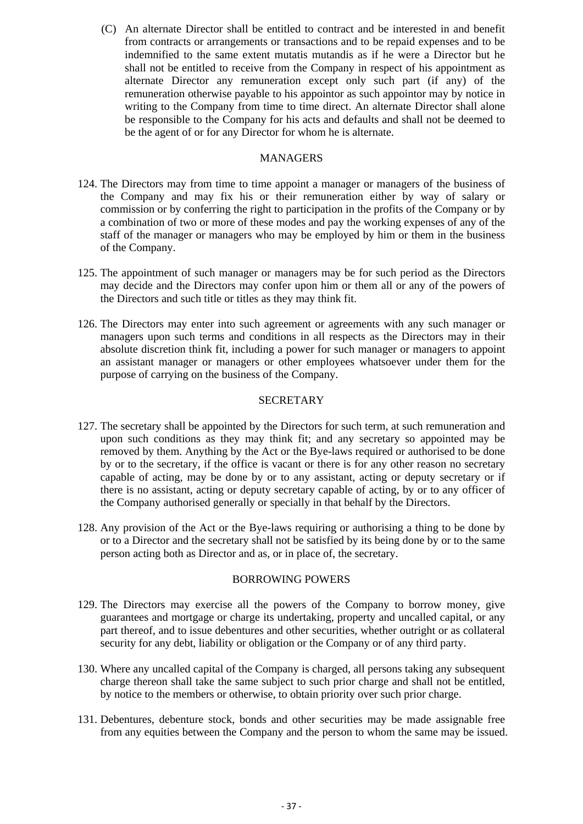(C) An alternate Director shall be entitled to contract and be interested in and benefit from contracts or arrangements or transactions and to be repaid expenses and to be indemnified to the same extent mutatis mutandis as if he were a Director but he shall not be entitled to receive from the Company in respect of his appointment as alternate Director any remuneration except only such part (if any) of the remuneration otherwise payable to his appointor as such appointor may by notice in writing to the Company from time to time direct. An alternate Director shall alone be responsible to the Company for his acts and defaults and shall not be deemed to be the agent of or for any Director for whom he is alternate.

#### MANAGERS

- 124. The Directors may from time to time appoint a manager or managers of the business of the Company and may fix his or their remuneration either by way of salary or commission or by conferring the right to participation in the profits of the Company or by a combination of two or more of these modes and pay the working expenses of any of the staff of the manager or managers who may be employed by him or them in the business of the Company.
- 125. The appointment of such manager or managers may be for such period as the Directors may decide and the Directors may confer upon him or them all or any of the powers of the Directors and such title or titles as they may think fit.
- 126. The Directors may enter into such agreement or agreements with any such manager or managers upon such terms and conditions in all respects as the Directors may in their absolute discretion think fit, including a power for such manager or managers to appoint an assistant manager or managers or other employees whatsoever under them for the purpose of carrying on the business of the Company.

#### **SECRETARY**

- 127. The secretary shall be appointed by the Directors for such term, at such remuneration and upon such conditions as they may think fit; and any secretary so appointed may be removed by them. Anything by the Act or the Bye-laws required or authorised to be done by or to the secretary, if the office is vacant or there is for any other reason no secretary capable of acting, may be done by or to any assistant, acting or deputy secretary or if there is no assistant, acting or deputy secretary capable of acting, by or to any officer of the Company authorised generally or specially in that behalf by the Directors.
- 128. Any provision of the Act or the Bye-laws requiring or authorising a thing to be done by or to a Director and the secretary shall not be satisfied by its being done by or to the same person acting both as Director and as, or in place of, the secretary.

#### BORROWING POWERS

- 129. The Directors may exercise all the powers of the Company to borrow money, give guarantees and mortgage or charge its undertaking, property and uncalled capital, or any part thereof, and to issue debentures and other securities, whether outright or as collateral security for any debt, liability or obligation or the Company or of any third party.
- 130. Where any uncalled capital of the Company is charged, all persons taking any subsequent charge thereon shall take the same subject to such prior charge and shall not be entitled, by notice to the members or otherwise, to obtain priority over such prior charge.
- 131. Debentures, debenture stock, bonds and other securities may be made assignable free from any equities between the Company and the person to whom the same may be issued.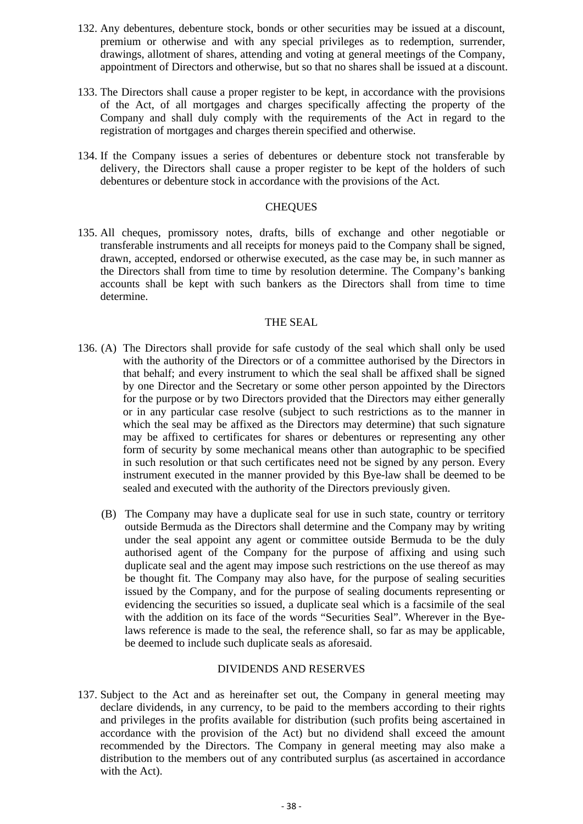- 132. Any debentures, debenture stock, bonds or other securities may be issued at a discount, premium or otherwise and with any special privileges as to redemption, surrender, drawings, allotment of shares, attending and voting at general meetings of the Company, appointment of Directors and otherwise, but so that no shares shall be issued at a discount.
- 133. The Directors shall cause a proper register to be kept, in accordance with the provisions of the Act, of all mortgages and charges specifically affecting the property of the Company and shall duly comply with the requirements of the Act in regard to the registration of mortgages and charges therein specified and otherwise.
- 134. If the Company issues a series of debentures or debenture stock not transferable by delivery, the Directors shall cause a proper register to be kept of the holders of such debentures or debenture stock in accordance with the provisions of the Act.

#### **CHEQUES**

135. All cheques, promissory notes, drafts, bills of exchange and other negotiable or transferable instruments and all receipts for moneys paid to the Company shall be signed, drawn, accepted, endorsed or otherwise executed, as the case may be, in such manner as the Directors shall from time to time by resolution determine. The Company's banking accounts shall be kept with such bankers as the Directors shall from time to time determine.

#### THE SEAL

- 136. (A) The Directors shall provide for safe custody of the seal which shall only be used with the authority of the Directors or of a committee authorised by the Directors in that behalf; and every instrument to which the seal shall be affixed shall be signed by one Director and the Secretary or some other person appointed by the Directors for the purpose or by two Directors provided that the Directors may either generally or in any particular case resolve (subject to such restrictions as to the manner in which the seal may be affixed as the Directors may determine) that such signature may be affixed to certificates for shares or debentures or representing any other form of security by some mechanical means other than autographic to be specified in such resolution or that such certificates need not be signed by any person. Every instrument executed in the manner provided by this Bye-law shall be deemed to be sealed and executed with the authority of the Directors previously given.
	- (B) The Company may have a duplicate seal for use in such state, country or territory outside Bermuda as the Directors shall determine and the Company may by writing under the seal appoint any agent or committee outside Bermuda to be the duly authorised agent of the Company for the purpose of affixing and using such duplicate seal and the agent may impose such restrictions on the use thereof as may be thought fit. The Company may also have, for the purpose of sealing securities issued by the Company, and for the purpose of sealing documents representing or evidencing the securities so issued, a duplicate seal which is a facsimile of the seal with the addition on its face of the words "Securities Seal". Wherever in the Byelaws reference is made to the seal, the reference shall, so far as may be applicable, be deemed to include such duplicate seals as aforesaid.

#### DIVIDENDS AND RESERVES

137. Subject to the Act and as hereinafter set out, the Company in general meeting may declare dividends, in any currency, to be paid to the members according to their rights and privileges in the profits available for distribution (such profits being ascertained in accordance with the provision of the Act) but no dividend shall exceed the amount recommended by the Directors. The Company in general meeting may also make a distribution to the members out of any contributed surplus (as ascertained in accordance with the Act).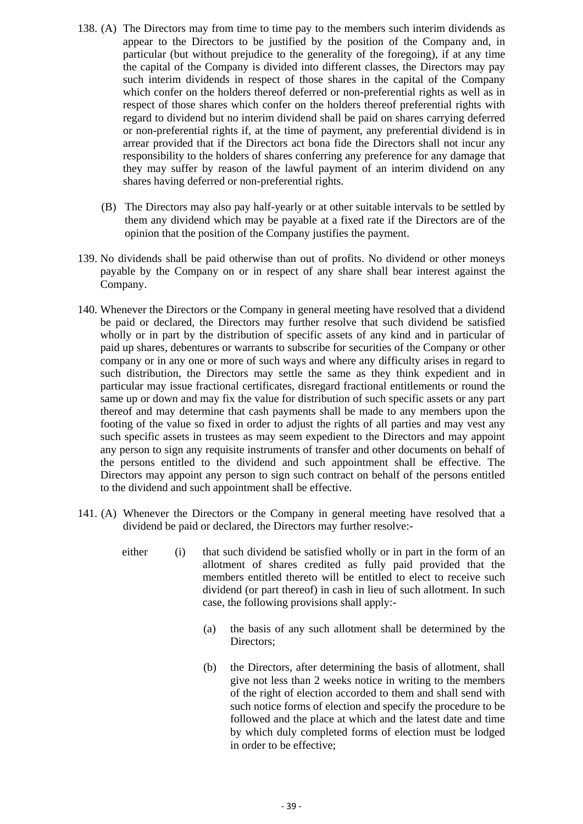- 138. (A) The Directors may from time to time pay to the members such interim dividends as appear to the Directors to be justified by the position of the Company and, in particular (but without prejudice to the generality of the foregoing), if at any time the capital of the Company is divided into different classes, the Directors may pay such interim dividends in respect of those shares in the capital of the Company which confer on the holders thereof deferred or non-preferential rights as well as in respect of those shares which confer on the holders thereof preferential rights with regard to dividend but no interim dividend shall be paid on shares carrying deferred or non-preferential rights if, at the time of payment, any preferential dividend is in arrear provided that if the Directors act bona fide the Directors shall not incur any responsibility to the holders of shares conferring any preference for any damage that they may suffer by reason of the lawful payment of an interim dividend on any shares having deferred or non-preferential rights.
	- (B) The Directors may also pay half-yearly or at other suitable intervals to be settled by them any dividend which may be payable at a fixed rate if the Directors are of the opinion that the position of the Company justifies the payment.
- 139. No dividends shall be paid otherwise than out of profits. No dividend or other moneys payable by the Company on or in respect of any share shall bear interest against the Company.
- 140. Whenever the Directors or the Company in general meeting have resolved that a dividend be paid or declared, the Directors may further resolve that such dividend be satisfied wholly or in part by the distribution of specific assets of any kind and in particular of paid up shares, debentures or warrants to subscribe for securities of the Company or other company or in any one or more of such ways and where any difficulty arises in regard to such distribution, the Directors may settle the same as they think expedient and in particular may issue fractional certificates, disregard fractional entitlements or round the same up or down and may fix the value for distribution of such specific assets or any part thereof and may determine that cash payments shall be made to any members upon the footing of the value so fixed in order to adjust the rights of all parties and may vest any such specific assets in trustees as may seem expedient to the Directors and may appoint any person to sign any requisite instruments of transfer and other documents on behalf of the persons entitled to the dividend and such appointment shall be effective. The Directors may appoint any person to sign such contract on behalf of the persons entitled to the dividend and such appointment shall be effective.
- 141. (A) Whenever the Directors or the Company in general meeting have resolved that a dividend be paid or declared, the Directors may further resolve:
	- either (i) that such dividend be satisfied wholly or in part in the form of an allotment of shares credited as fully paid provided that the members entitled thereto will be entitled to elect to receive such dividend (or part thereof) in cash in lieu of such allotment. In such case, the following provisions shall apply:-
		- (a) the basis of any such allotment shall be determined by the Directors;
		- (b) the Directors, after determining the basis of allotment, shall give not less than 2 weeks notice in writing to the members of the right of election accorded to them and shall send with such notice forms of election and specify the procedure to be followed and the place at which and the latest date and time by which duly completed forms of election must be lodged in order to be effective;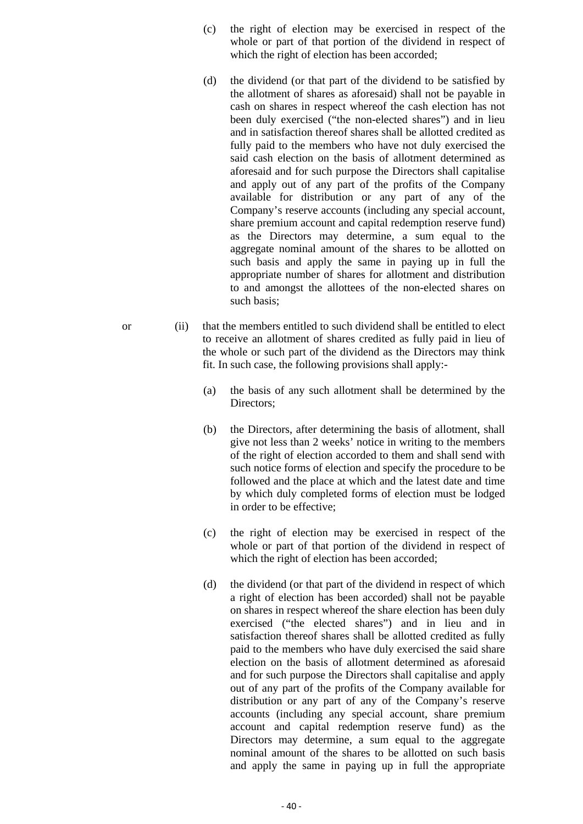- (c) the right of election may be exercised in respect of the whole or part of that portion of the dividend in respect of which the right of election has been accorded;
- (d) the dividend (or that part of the dividend to be satisfied by the allotment of shares as aforesaid) shall not be payable in cash on shares in respect whereof the cash election has not been duly exercised ("the non-elected shares") and in lieu and in satisfaction thereof shares shall be allotted credited as fully paid to the members who have not duly exercised the said cash election on the basis of allotment determined as aforesaid and for such purpose the Directors shall capitalise and apply out of any part of the profits of the Company available for distribution or any part of any of the Company's reserve accounts (including any special account, share premium account and capital redemption reserve fund) as the Directors may determine, a sum equal to the aggregate nominal amount of the shares to be allotted on such basis and apply the same in paying up in full the appropriate number of shares for allotment and distribution to and amongst the allottees of the non-elected shares on such basis;
- or (ii) that the members entitled to such dividend shall be entitled to elect to receive an allotment of shares credited as fully paid in lieu of the whole or such part of the dividend as the Directors may think fit. In such case, the following provisions shall apply:-
	- (a) the basis of any such allotment shall be determined by the Directors;
	- (b) the Directors, after determining the basis of allotment, shall give not less than 2 weeks' notice in writing to the members of the right of election accorded to them and shall send with such notice forms of election and specify the procedure to be followed and the place at which and the latest date and time by which duly completed forms of election must be lodged in order to be effective;
	- (c) the right of election may be exercised in respect of the whole or part of that portion of the dividend in respect of which the right of election has been accorded;
	- (d) the dividend (or that part of the dividend in respect of which a right of election has been accorded) shall not be payable on shares in respect whereof the share election has been duly exercised ("the elected shares") and in lieu and in satisfaction thereof shares shall be allotted credited as fully paid to the members who have duly exercised the said share election on the basis of allotment determined as aforesaid and for such purpose the Directors shall capitalise and apply out of any part of the profits of the Company available for distribution or any part of any of the Company's reserve accounts (including any special account, share premium account and capital redemption reserve fund) as the Directors may determine, a sum equal to the aggregate nominal amount of the shares to be allotted on such basis and apply the same in paying up in full the appropriate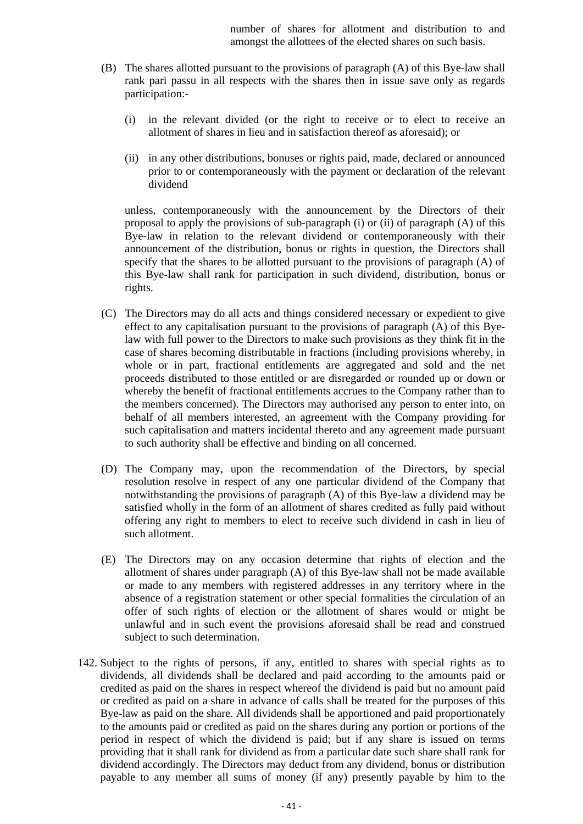number of shares for allotment and distribution to and amongst the allottees of the elected shares on such basis.

- (B) The shares allotted pursuant to the provisions of paragraph (A) of this Bye-law shall rank pari passu in all respects with the shares then in issue save only as regards participation:-
	- (i) in the relevant divided (or the right to receive or to elect to receive an allotment of shares in lieu and in satisfaction thereof as aforesaid); or
	- (ii) in any other distributions, bonuses or rights paid, made, declared or announced prior to or contemporaneously with the payment or declaration of the relevant dividend

unless, contemporaneously with the announcement by the Directors of their proposal to apply the provisions of sub-paragraph (i) or (ii) of paragraph (A) of this Bye-law in relation to the relevant dividend or contemporaneously with their announcement of the distribution, bonus or rights in question, the Directors shall specify that the shares to be allotted pursuant to the provisions of paragraph (A) of this Bye-law shall rank for participation in such dividend, distribution, bonus or rights.

- (C) The Directors may do all acts and things considered necessary or expedient to give effect to any capitalisation pursuant to the provisions of paragraph (A) of this Byelaw with full power to the Directors to make such provisions as they think fit in the case of shares becoming distributable in fractions (including provisions whereby, in whole or in part, fractional entitlements are aggregated and sold and the net proceeds distributed to those entitled or are disregarded or rounded up or down or whereby the benefit of fractional entitlements accrues to the Company rather than to the members concerned). The Directors may authorised any person to enter into, on behalf of all members interested, an agreement with the Company providing for such capitalisation and matters incidental thereto and any agreement made pursuant to such authority shall be effective and binding on all concerned.
- (D) The Company may, upon the recommendation of the Directors, by special resolution resolve in respect of any one particular dividend of the Company that notwithstanding the provisions of paragraph (A) of this Bye-law a dividend may be satisfied wholly in the form of an allotment of shares credited as fully paid without offering any right to members to elect to receive such dividend in cash in lieu of such allotment.
- (E) The Directors may on any occasion determine that rights of election and the allotment of shares under paragraph (A) of this Bye-law shall not be made available or made to any members with registered addresses in any territory where in the absence of a registration statement or other special formalities the circulation of an offer of such rights of election or the allotment of shares would or might be unlawful and in such event the provisions aforesaid shall be read and construed subject to such determination.
- 142. Subject to the rights of persons, if any, entitled to shares with special rights as to dividends, all dividends shall be declared and paid according to the amounts paid or credited as paid on the shares in respect whereof the dividend is paid but no amount paid or credited as paid on a share in advance of calls shall be treated for the purposes of this Bye-law as paid on the share. All dividends shall be apportioned and paid proportionately to the amounts paid or credited as paid on the shares during any portion or portions of the period in respect of which the dividend is paid; but if any share is issued on terms providing that it shall rank for dividend as from a particular date such share shall rank for dividend accordingly. The Directors may deduct from any dividend, bonus or distribution payable to any member all sums of money (if any) presently payable by him to the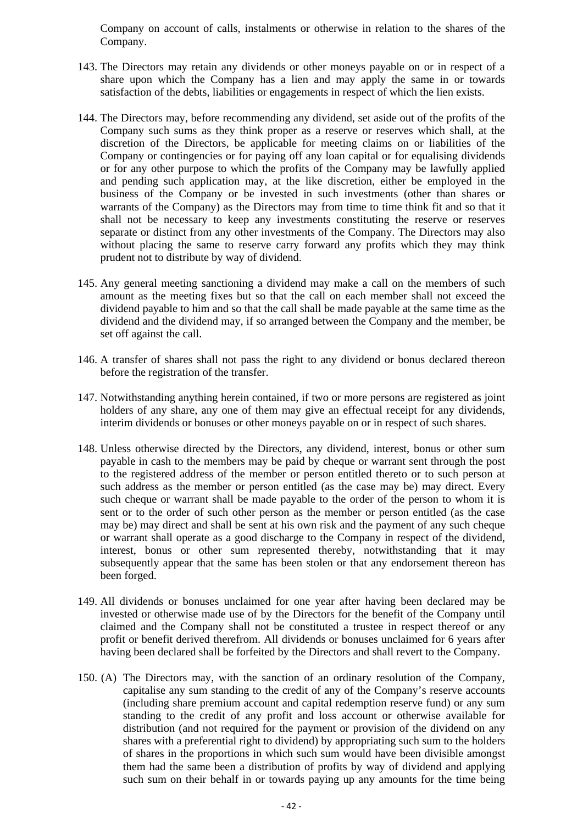Company on account of calls, instalments or otherwise in relation to the shares of the Company.

- 143. The Directors may retain any dividends or other moneys payable on or in respect of a share upon which the Company has a lien and may apply the same in or towards satisfaction of the debts, liabilities or engagements in respect of which the lien exists.
- 144. The Directors may, before recommending any dividend, set aside out of the profits of the Company such sums as they think proper as a reserve or reserves which shall, at the discretion of the Directors, be applicable for meeting claims on or liabilities of the Company or contingencies or for paying off any loan capital or for equalising dividends or for any other purpose to which the profits of the Company may be lawfully applied and pending such application may, at the like discretion, either be employed in the business of the Company or be invested in such investments (other than shares or warrants of the Company) as the Directors may from time to time think fit and so that it shall not be necessary to keep any investments constituting the reserve or reserves separate or distinct from any other investments of the Company. The Directors may also without placing the same to reserve carry forward any profits which they may think prudent not to distribute by way of dividend.
- 145. Any general meeting sanctioning a dividend may make a call on the members of such amount as the meeting fixes but so that the call on each member shall not exceed the dividend payable to him and so that the call shall be made payable at the same time as the dividend and the dividend may, if so arranged between the Company and the member, be set off against the call.
- 146. A transfer of shares shall not pass the right to any dividend or bonus declared thereon before the registration of the transfer.
- 147. Notwithstanding anything herein contained, if two or more persons are registered as joint holders of any share, any one of them may give an effectual receipt for any dividends, interim dividends or bonuses or other moneys payable on or in respect of such shares.
- 148. Unless otherwise directed by the Directors, any dividend, interest, bonus or other sum payable in cash to the members may be paid by cheque or warrant sent through the post to the registered address of the member or person entitled thereto or to such person at such address as the member or person entitled (as the case may be) may direct. Every such cheque or warrant shall be made payable to the order of the person to whom it is sent or to the order of such other person as the member or person entitled (as the case may be) may direct and shall be sent at his own risk and the payment of any such cheque or warrant shall operate as a good discharge to the Company in respect of the dividend, interest, bonus or other sum represented thereby, notwithstanding that it may subsequently appear that the same has been stolen or that any endorsement thereon has been forged.
- 149. All dividends or bonuses unclaimed for one year after having been declared may be invested or otherwise made use of by the Directors for the benefit of the Company until claimed and the Company shall not be constituted a trustee in respect thereof or any profit or benefit derived therefrom. All dividends or bonuses unclaimed for 6 years after having been declared shall be forfeited by the Directors and shall revert to the Company.
- 150. (A) The Directors may, with the sanction of an ordinary resolution of the Company, capitalise any sum standing to the credit of any of the Company's reserve accounts (including share premium account and capital redemption reserve fund) or any sum standing to the credit of any profit and loss account or otherwise available for distribution (and not required for the payment or provision of the dividend on any shares with a preferential right to dividend) by appropriating such sum to the holders of shares in the proportions in which such sum would have been divisible amongst them had the same been a distribution of profits by way of dividend and applying such sum on their behalf in or towards paying up any amounts for the time being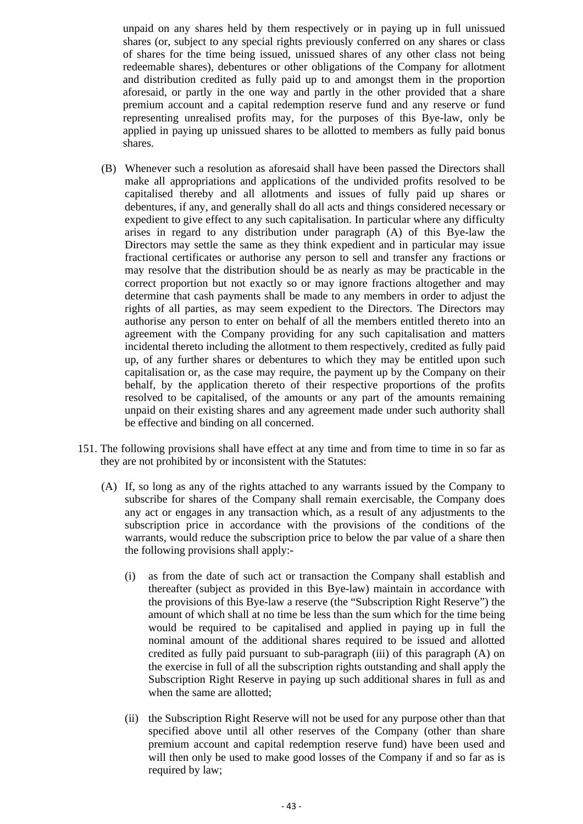unpaid on any shares held by them respectively or in paying up in full unissued shares (or, subject to any special rights previously conferred on any shares or class of shares for the time being issued, unissued shares of any other class not being redeemable shares), debentures or other obligations of the Company for allotment and distribution credited as fully paid up to and amongst them in the proportion aforesaid, or partly in the one way and partly in the other provided that a share premium account and a capital redemption reserve fund and any reserve or fund representing unrealised profits may, for the purposes of this Bye-law, only be applied in paying up unissued shares to be allotted to members as fully paid bonus shares.

- (B) Whenever such a resolution as aforesaid shall have been passed the Directors shall make all appropriations and applications of the undivided profits resolved to be capitalised thereby and all allotments and issues of fully paid up shares or debentures, if any, and generally shall do all acts and things considered necessary or expedient to give effect to any such capitalisation. In particular where any difficulty arises in regard to any distribution under paragraph (A) of this Bye-law the Directors may settle the same as they think expedient and in particular may issue fractional certificates or authorise any person to sell and transfer any fractions or may resolve that the distribution should be as nearly as may be practicable in the correct proportion but not exactly so or may ignore fractions altogether and may determine that cash payments shall be made to any members in order to adjust the rights of all parties, as may seem expedient to the Directors. The Directors may authorise any person to enter on behalf of all the members entitled thereto into an agreement with the Company providing for any such capitalisation and matters incidental thereto including the allotment to them respectively, credited as fully paid up, of any further shares or debentures to which they may be entitled upon such capitalisation or, as the case may require, the payment up by the Company on their behalf, by the application thereto of their respective proportions of the profits resolved to be capitalised, of the amounts or any part of the amounts remaining unpaid on their existing shares and any agreement made under such authority shall be effective and binding on all concerned.
- 151. The following provisions shall have effect at any time and from time to time in so far as they are not prohibited by or inconsistent with the Statutes:
	- (A) If, so long as any of the rights attached to any warrants issued by the Company to subscribe for shares of the Company shall remain exercisable, the Company does any act or engages in any transaction which, as a result of any adjustments to the subscription price in accordance with the provisions of the conditions of the warrants, would reduce the subscription price to below the par value of a share then the following provisions shall apply:-
		- (i) as from the date of such act or transaction the Company shall establish and thereafter (subject as provided in this Bye-law) maintain in accordance with the provisions of this Bye-law a reserve (the "Subscription Right Reserve") the amount of which shall at no time be less than the sum which for the time being would be required to be capitalised and applied in paying up in full the nominal amount of the additional shares required to be issued and allotted credited as fully paid pursuant to sub-paragraph (iii) of this paragraph (A) on the exercise in full of all the subscription rights outstanding and shall apply the Subscription Right Reserve in paying up such additional shares in full as and when the same are allotted;
		- (ii) the Subscription Right Reserve will not be used for any purpose other than that specified above until all other reserves of the Company (other than share premium account and capital redemption reserve fund) have been used and will then only be used to make good losses of the Company if and so far as is required by law;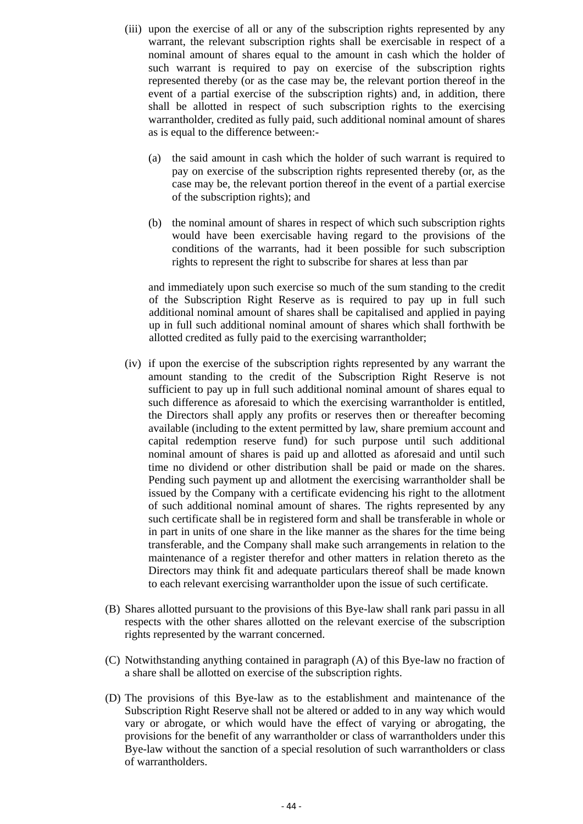- (iii) upon the exercise of all or any of the subscription rights represented by any warrant, the relevant subscription rights shall be exercisable in respect of a nominal amount of shares equal to the amount in cash which the holder of such warrant is required to pay on exercise of the subscription rights represented thereby (or as the case may be, the relevant portion thereof in the event of a partial exercise of the subscription rights) and, in addition, there shall be allotted in respect of such subscription rights to the exercising warrantholder, credited as fully paid, such additional nominal amount of shares as is equal to the difference between:-
	- (a) the said amount in cash which the holder of such warrant is required to pay on exercise of the subscription rights represented thereby (or, as the case may be, the relevant portion thereof in the event of a partial exercise of the subscription rights); and
	- (b) the nominal amount of shares in respect of which such subscription rights would have been exercisable having regard to the provisions of the conditions of the warrants, had it been possible for such subscription rights to represent the right to subscribe for shares at less than par

and immediately upon such exercise so much of the sum standing to the credit of the Subscription Right Reserve as is required to pay up in full such additional nominal amount of shares shall be capitalised and applied in paying up in full such additional nominal amount of shares which shall forthwith be allotted credited as fully paid to the exercising warrantholder;

- (iv) if upon the exercise of the subscription rights represented by any warrant the amount standing to the credit of the Subscription Right Reserve is not sufficient to pay up in full such additional nominal amount of shares equal to such difference as aforesaid to which the exercising warrantholder is entitled, the Directors shall apply any profits or reserves then or thereafter becoming available (including to the extent permitted by law, share premium account and capital redemption reserve fund) for such purpose until such additional nominal amount of shares is paid up and allotted as aforesaid and until such time no dividend or other distribution shall be paid or made on the shares. Pending such payment up and allotment the exercising warrantholder shall be issued by the Company with a certificate evidencing his right to the allotment of such additional nominal amount of shares. The rights represented by any such certificate shall be in registered form and shall be transferable in whole or in part in units of one share in the like manner as the shares for the time being transferable, and the Company shall make such arrangements in relation to the maintenance of a register therefor and other matters in relation thereto as the Directors may think fit and adequate particulars thereof shall be made known to each relevant exercising warrantholder upon the issue of such certificate.
- (B) Shares allotted pursuant to the provisions of this Bye-law shall rank pari passu in all respects with the other shares allotted on the relevant exercise of the subscription rights represented by the warrant concerned.
- (C) Notwithstanding anything contained in paragraph (A) of this Bye-law no fraction of a share shall be allotted on exercise of the subscription rights.
- (D) The provisions of this Bye-law as to the establishment and maintenance of the Subscription Right Reserve shall not be altered or added to in any way which would vary or abrogate, or which would have the effect of varying or abrogating, the provisions for the benefit of any warrantholder or class of warrantholders under this Bye-law without the sanction of a special resolution of such warrantholders or class of warrantholders.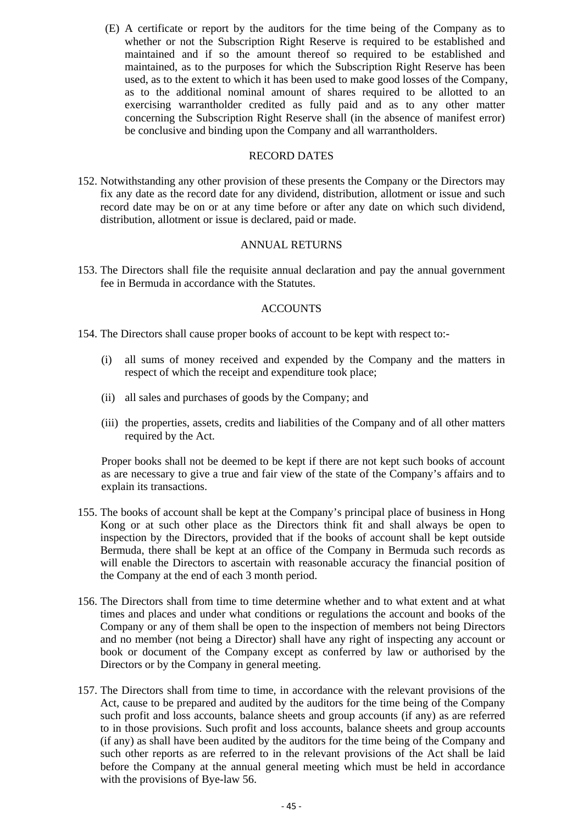(E) A certificate or report by the auditors for the time being of the Company as to whether or not the Subscription Right Reserve is required to be established and maintained and if so the amount thereof so required to be established and maintained, as to the purposes for which the Subscription Right Reserve has been used, as to the extent to which it has been used to make good losses of the Company, as to the additional nominal amount of shares required to be allotted to an exercising warrantholder credited as fully paid and as to any other matter concerning the Subscription Right Reserve shall (in the absence of manifest error) be conclusive and binding upon the Company and all warrantholders.

#### RECORD DATES

152. Notwithstanding any other provision of these presents the Company or the Directors may fix any date as the record date for any dividend, distribution, allotment or issue and such record date may be on or at any time before or after any date on which such dividend, distribution, allotment or issue is declared, paid or made.

#### ANNUAL RETURNS

153. The Directors shall file the requisite annual declaration and pay the annual government fee in Bermuda in accordance with the Statutes.

#### ACCOUNTS

- 154. The Directors shall cause proper books of account to be kept with respect to:-
	- (i) all sums of money received and expended by the Company and the matters in respect of which the receipt and expenditure took place;
	- (ii) all sales and purchases of goods by the Company; and
	- (iii) the properties, assets, credits and liabilities of the Company and of all other matters required by the Act.

Proper books shall not be deemed to be kept if there are not kept such books of account as are necessary to give a true and fair view of the state of the Company's affairs and to explain its transactions.

- 155. The books of account shall be kept at the Company's principal place of business in Hong Kong or at such other place as the Directors think fit and shall always be open to inspection by the Directors, provided that if the books of account shall be kept outside Bermuda, there shall be kept at an office of the Company in Bermuda such records as will enable the Directors to ascertain with reasonable accuracy the financial position of the Company at the end of each 3 month period.
- 156. The Directors shall from time to time determine whether and to what extent and at what times and places and under what conditions or regulations the account and books of the Company or any of them shall be open to the inspection of members not being Directors and no member (not being a Director) shall have any right of inspecting any account or book or document of the Company except as conferred by law or authorised by the Directors or by the Company in general meeting.
- 157. The Directors shall from time to time, in accordance with the relevant provisions of the Act, cause to be prepared and audited by the auditors for the time being of the Company such profit and loss accounts, balance sheets and group accounts (if any) as are referred to in those provisions. Such profit and loss accounts, balance sheets and group accounts (if any) as shall have been audited by the auditors for the time being of the Company and such other reports as are referred to in the relevant provisions of the Act shall be laid before the Company at the annual general meeting which must be held in accordance with the provisions of Bye-law 56.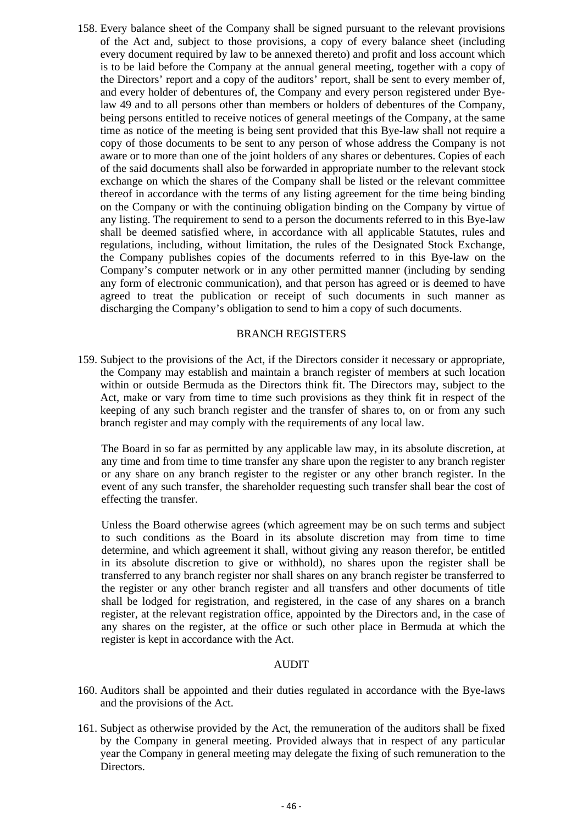158. Every balance sheet of the Company shall be signed pursuant to the relevant provisions of the Act and, subject to those provisions, a copy of every balance sheet (including every document required by law to be annexed thereto) and profit and loss account which is to be laid before the Company at the annual general meeting, together with a copy of the Directors' report and a copy of the auditors' report, shall be sent to every member of, and every holder of debentures of, the Company and every person registered under Byelaw 49 and to all persons other than members or holders of debentures of the Company, being persons entitled to receive notices of general meetings of the Company, at the same time as notice of the meeting is being sent provided that this Bye-law shall not require a copy of those documents to be sent to any person of whose address the Company is not aware or to more than one of the joint holders of any shares or debentures. Copies of each of the said documents shall also be forwarded in appropriate number to the relevant stock exchange on which the shares of the Company shall be listed or the relevant committee thereof in accordance with the terms of any listing agreement for the time being binding on the Company or with the continuing obligation binding on the Company by virtue of any listing. The requirement to send to a person the documents referred to in this Bye-law shall be deemed satisfied where, in accordance with all applicable Statutes, rules and regulations, including, without limitation, the rules of the Designated Stock Exchange, the Company publishes copies of the documents referred to in this Bye-law on the Company's computer network or in any other permitted manner (including by sending any form of electronic communication), and that person has agreed or is deemed to have agreed to treat the publication or receipt of such documents in such manner as discharging the Company's obligation to send to him a copy of such documents.

#### BRANCH REGISTERS

159. Subject to the provisions of the Act, if the Directors consider it necessary or appropriate, the Company may establish and maintain a branch register of members at such location within or outside Bermuda as the Directors think fit. The Directors may, subject to the Act, make or vary from time to time such provisions as they think fit in respect of the keeping of any such branch register and the transfer of shares to, on or from any such branch register and may comply with the requirements of any local law.

The Board in so far as permitted by any applicable law may, in its absolute discretion, at any time and from time to time transfer any share upon the register to any branch register or any share on any branch register to the register or any other branch register. In the event of any such transfer, the shareholder requesting such transfer shall bear the cost of effecting the transfer.

Unless the Board otherwise agrees (which agreement may be on such terms and subject to such conditions as the Board in its absolute discretion may from time to time determine, and which agreement it shall, without giving any reason therefor, be entitled in its absolute discretion to give or withhold), no shares upon the register shall be transferred to any branch register nor shall shares on any branch register be transferred to the register or any other branch register and all transfers and other documents of title shall be lodged for registration, and registered, in the case of any shares on a branch register, at the relevant registration office, appointed by the Directors and, in the case of any shares on the register, at the office or such other place in Bermuda at which the register is kept in accordance with the Act.

#### AUDIT

- 160. Auditors shall be appointed and their duties regulated in accordance with the Bye-laws and the provisions of the Act.
- 161. Subject as otherwise provided by the Act, the remuneration of the auditors shall be fixed by the Company in general meeting. Provided always that in respect of any particular year the Company in general meeting may delegate the fixing of such remuneration to the Directors.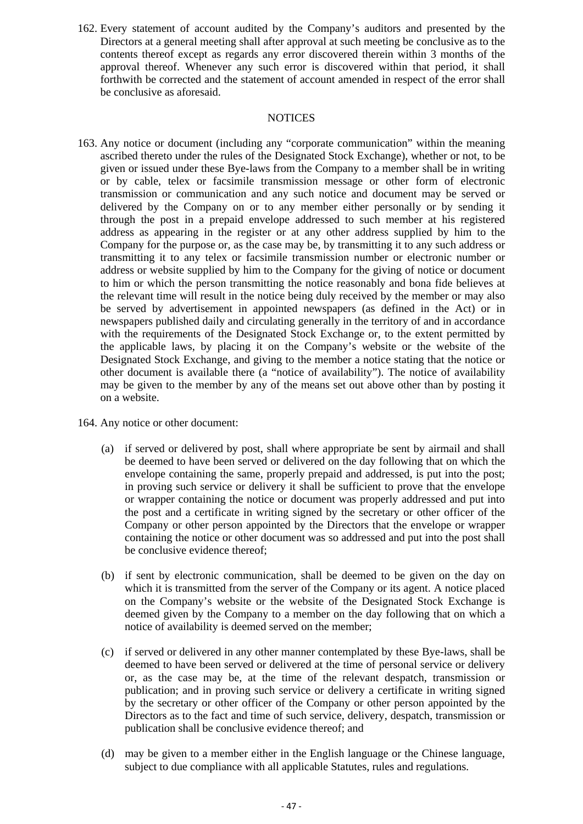162. Every statement of account audited by the Company's auditors and presented by the Directors at a general meeting shall after approval at such meeting be conclusive as to the contents thereof except as regards any error discovered therein within 3 months of the approval thereof. Whenever any such error is discovered within that period, it shall forthwith be corrected and the statement of account amended in respect of the error shall be conclusive as aforesaid.

#### **NOTICES**

- 163. Any notice or document (including any "corporate communication" within the meaning ascribed thereto under the rules of the Designated Stock Exchange), whether or not, to be given or issued under these Bye-laws from the Company to a member shall be in writing or by cable, telex or facsimile transmission message or other form of electronic transmission or communication and any such notice and document may be served or delivered by the Company on or to any member either personally or by sending it through the post in a prepaid envelope addressed to such member at his registered address as appearing in the register or at any other address supplied by him to the Company for the purpose or, as the case may be, by transmitting it to any such address or transmitting it to any telex or facsimile transmission number or electronic number or address or website supplied by him to the Company for the giving of notice or document to him or which the person transmitting the notice reasonably and bona fide believes at the relevant time will result in the notice being duly received by the member or may also be served by advertisement in appointed newspapers (as defined in the Act) or in newspapers published daily and circulating generally in the territory of and in accordance with the requirements of the Designated Stock Exchange or, to the extent permitted by the applicable laws, by placing it on the Company's website or the website of the Designated Stock Exchange, and giving to the member a notice stating that the notice or other document is available there (a "notice of availability"). The notice of availability may be given to the member by any of the means set out above other than by posting it on a website.
- 164. Any notice or other document:
	- (a) if served or delivered by post, shall where appropriate be sent by airmail and shall be deemed to have been served or delivered on the day following that on which the envelope containing the same, properly prepaid and addressed, is put into the post; in proving such service or delivery it shall be sufficient to prove that the envelope or wrapper containing the notice or document was properly addressed and put into the post and a certificate in writing signed by the secretary or other officer of the Company or other person appointed by the Directors that the envelope or wrapper containing the notice or other document was so addressed and put into the post shall be conclusive evidence thereof;
	- (b) if sent by electronic communication, shall be deemed to be given on the day on which it is transmitted from the server of the Company or its agent. A notice placed on the Company's website or the website of the Designated Stock Exchange is deemed given by the Company to a member on the day following that on which a notice of availability is deemed served on the member;
	- (c) if served or delivered in any other manner contemplated by these Bye-laws, shall be deemed to have been served or delivered at the time of personal service or delivery or, as the case may be, at the time of the relevant despatch, transmission or publication; and in proving such service or delivery a certificate in writing signed by the secretary or other officer of the Company or other person appointed by the Directors as to the fact and time of such service, delivery, despatch, transmission or publication shall be conclusive evidence thereof; and
	- (d) may be given to a member either in the English language or the Chinese language, subject to due compliance with all applicable Statutes, rules and regulations.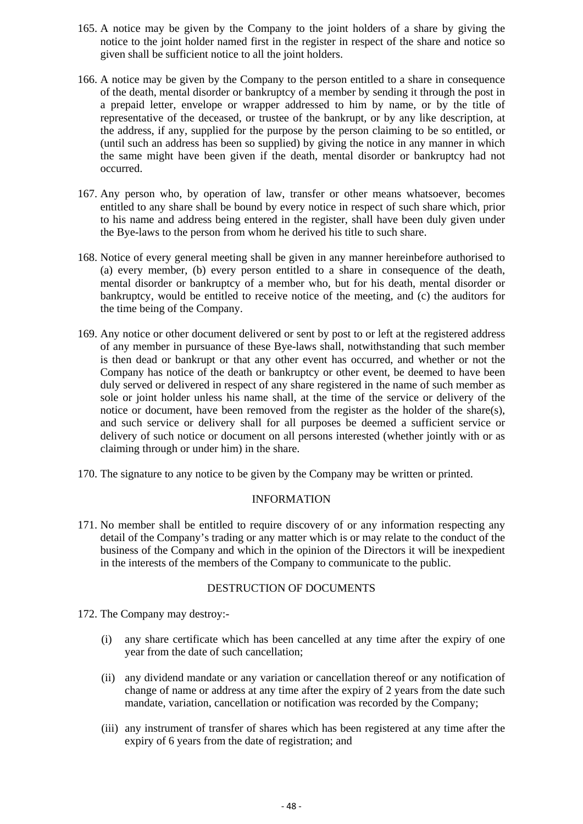- 165. A notice may be given by the Company to the joint holders of a share by giving the notice to the joint holder named first in the register in respect of the share and notice so given shall be sufficient notice to all the joint holders.
- 166. A notice may be given by the Company to the person entitled to a share in consequence of the death, mental disorder or bankruptcy of a member by sending it through the post in a prepaid letter, envelope or wrapper addressed to him by name, or by the title of representative of the deceased, or trustee of the bankrupt, or by any like description, at the address, if any, supplied for the purpose by the person claiming to be so entitled, or (until such an address has been so supplied) by giving the notice in any manner in which the same might have been given if the death, mental disorder or bankruptcy had not occurred.
- 167. Any person who, by operation of law, transfer or other means whatsoever, becomes entitled to any share shall be bound by every notice in respect of such share which, prior to his name and address being entered in the register, shall have been duly given under the Bye-laws to the person from whom he derived his title to such share.
- 168. Notice of every general meeting shall be given in any manner hereinbefore authorised to (a) every member, (b) every person entitled to a share in consequence of the death, mental disorder or bankruptcy of a member who, but for his death, mental disorder or bankruptcy, would be entitled to receive notice of the meeting, and (c) the auditors for the time being of the Company.
- 169. Any notice or other document delivered or sent by post to or left at the registered address of any member in pursuance of these Bye-laws shall, notwithstanding that such member is then dead or bankrupt or that any other event has occurred, and whether or not the Company has notice of the death or bankruptcy or other event, be deemed to have been duly served or delivered in respect of any share registered in the name of such member as sole or joint holder unless his name shall, at the time of the service or delivery of the notice or document, have been removed from the register as the holder of the share(s), and such service or delivery shall for all purposes be deemed a sufficient service or delivery of such notice or document on all persons interested (whether jointly with or as claiming through or under him) in the share.
- 170. The signature to any notice to be given by the Company may be written or printed.

#### INFORMATION

171. No member shall be entitled to require discovery of or any information respecting any detail of the Company's trading or any matter which is or may relate to the conduct of the business of the Company and which in the opinion of the Directors it will be inexpedient in the interests of the members of the Company to communicate to the public.

#### DESTRUCTION OF DOCUMENTS

172. The Company may destroy:-

- (i) any share certificate which has been cancelled at any time after the expiry of one year from the date of such cancellation;
- (ii) any dividend mandate or any variation or cancellation thereof or any notification of change of name or address at any time after the expiry of 2 years from the date such mandate, variation, cancellation or notification was recorded by the Company;
- (iii) any instrument of transfer of shares which has been registered at any time after the expiry of 6 years from the date of registration; and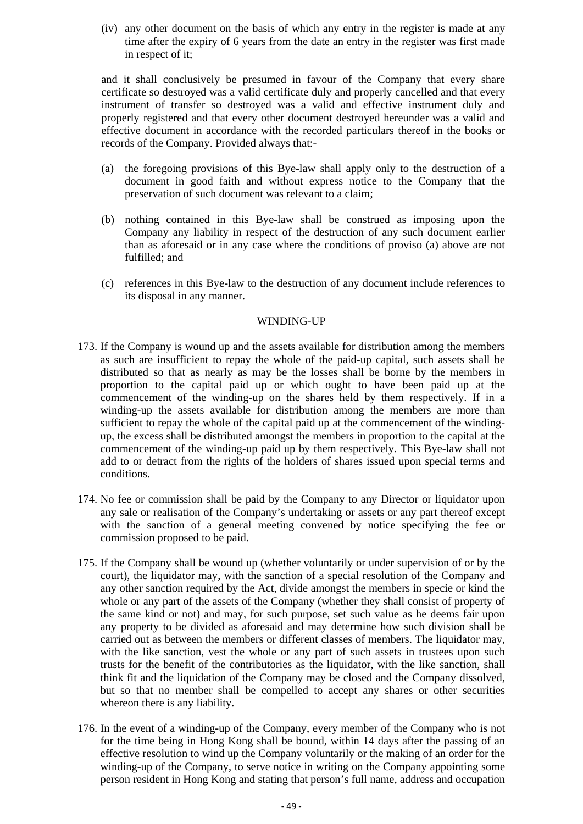(iv) any other document on the basis of which any entry in the register is made at any time after the expiry of 6 years from the date an entry in the register was first made in respect of it;

and it shall conclusively be presumed in favour of the Company that every share certificate so destroyed was a valid certificate duly and properly cancelled and that every instrument of transfer so destroyed was a valid and effective instrument duly and properly registered and that every other document destroyed hereunder was a valid and effective document in accordance with the recorded particulars thereof in the books or records of the Company. Provided always that:-

- (a) the foregoing provisions of this Bye-law shall apply only to the destruction of a document in good faith and without express notice to the Company that the preservation of such document was relevant to a claim;
- (b) nothing contained in this Bye-law shall be construed as imposing upon the Company any liability in respect of the destruction of any such document earlier than as aforesaid or in any case where the conditions of proviso (a) above are not fulfilled; and
- (c) references in this Bye-law to the destruction of any document include references to its disposal in any manner.

#### WINDING-UP

- 173. If the Company is wound up and the assets available for distribution among the members as such are insufficient to repay the whole of the paid-up capital, such assets shall be distributed so that as nearly as may be the losses shall be borne by the members in proportion to the capital paid up or which ought to have been paid up at the commencement of the winding-up on the shares held by them respectively. If in a winding-up the assets available for distribution among the members are more than sufficient to repay the whole of the capital paid up at the commencement of the windingup, the excess shall be distributed amongst the members in proportion to the capital at the commencement of the winding-up paid up by them respectively. This Bye-law shall not add to or detract from the rights of the holders of shares issued upon special terms and conditions.
- 174. No fee or commission shall be paid by the Company to any Director or liquidator upon any sale or realisation of the Company's undertaking or assets or any part thereof except with the sanction of a general meeting convened by notice specifying the fee or commission proposed to be paid.
- 175. If the Company shall be wound up (whether voluntarily or under supervision of or by the court), the liquidator may, with the sanction of a special resolution of the Company and any other sanction required by the Act, divide amongst the members in specie or kind the whole or any part of the assets of the Company (whether they shall consist of property of the same kind or not) and may, for such purpose, set such value as he deems fair upon any property to be divided as aforesaid and may determine how such division shall be carried out as between the members or different classes of members. The liquidator may, with the like sanction, vest the whole or any part of such assets in trustees upon such trusts for the benefit of the contributories as the liquidator, with the like sanction, shall think fit and the liquidation of the Company may be closed and the Company dissolved, but so that no member shall be compelled to accept any shares or other securities whereon there is any liability.
- 176. In the event of a winding-up of the Company, every member of the Company who is not for the time being in Hong Kong shall be bound, within 14 days after the passing of an effective resolution to wind up the Company voluntarily or the making of an order for the winding-up of the Company, to serve notice in writing on the Company appointing some person resident in Hong Kong and stating that person's full name, address and occupation